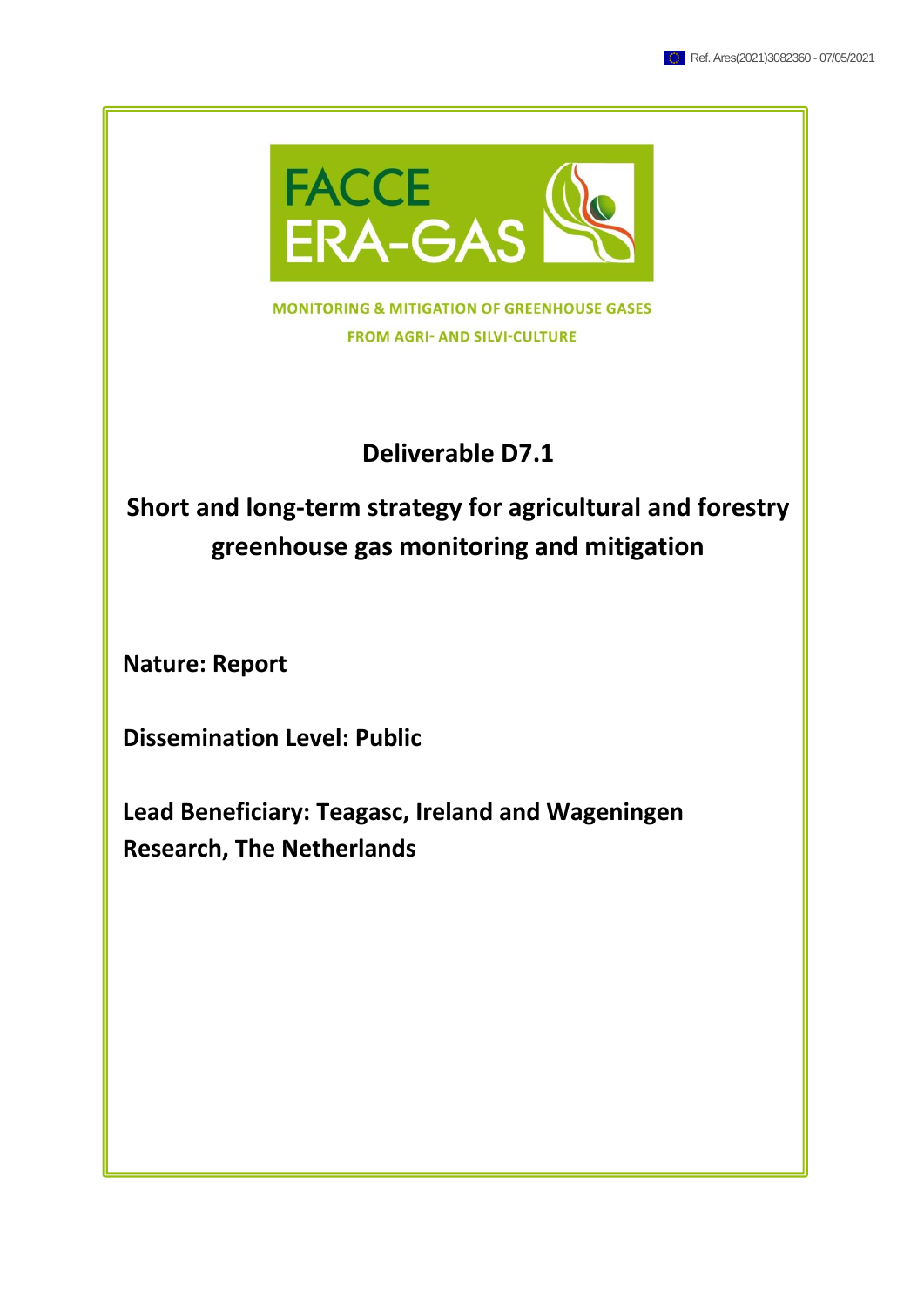

**MONITORING & MITIGATION OF GREENHOUSE GASES FROM AGRI- AND SILVI-CULTURE** 

### **Deliverable D7.1**

# **Short and long-term strategy for agricultural and forestry greenhouse gas monitoring and mitigation**

**Nature: Report**

**Dissemination Level: Public**

**Lead Beneficiary: Teagasc, Ireland and Wageningen Research, The Netherlands**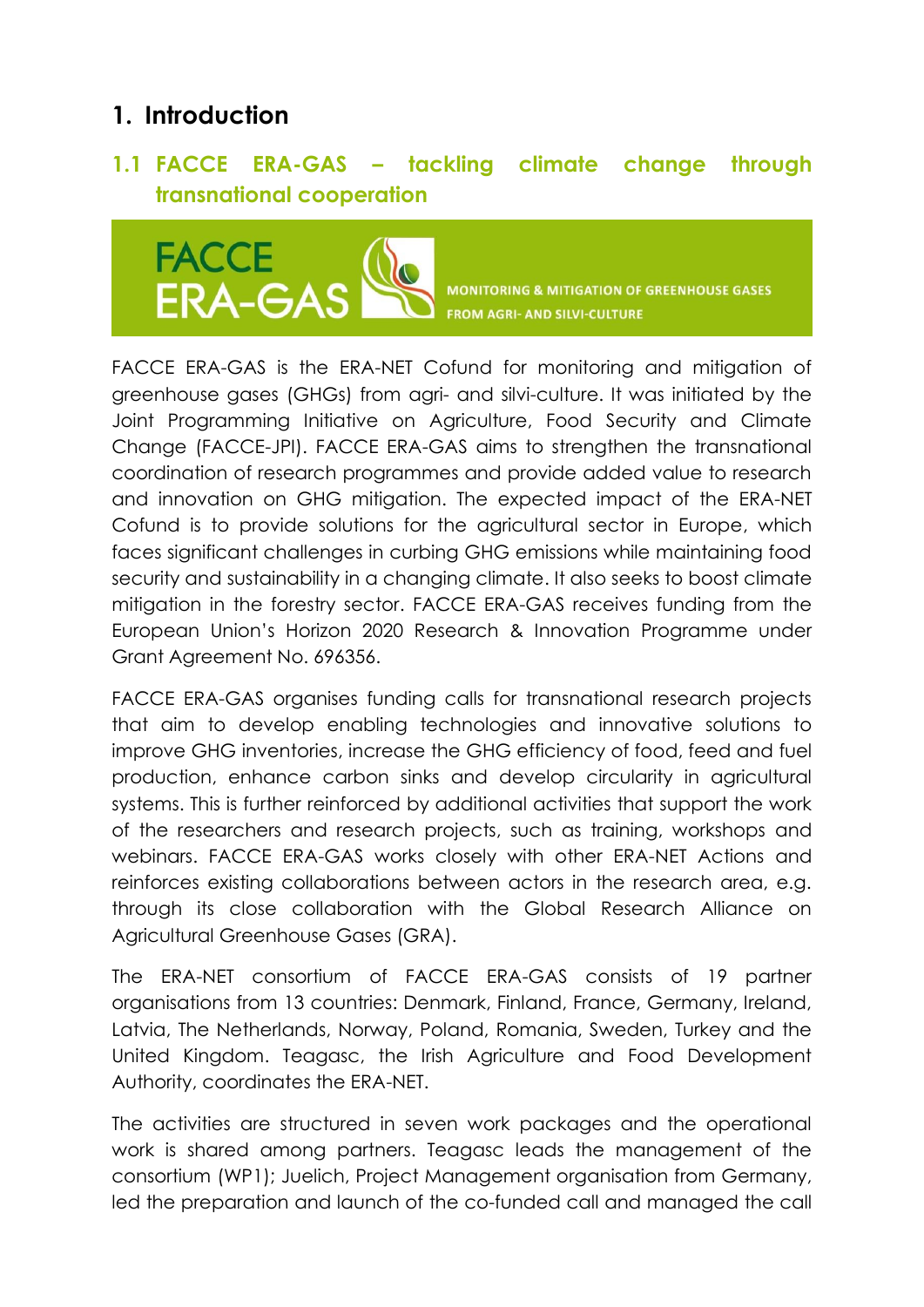## **1. Introduction**

### **1.1 FACCE ERA-GAS – tackling climate change through transnational cooperation**



**MONITORING & MITIGATION OF GREENHOUSE GASES FROM AGRI- AND SILVI-CULTURE** 

FACCE ERA-GAS is the ERA-NET Cofund for monitoring and mitigation of greenhouse gases (GHGs) from agri- and silvi-culture. It was initiated by the Joint Programming Initiative on Agriculture, Food Security and Climate Change (FACCE-JPI). FACCE ERA-GAS aims to strengthen the transnational coordination of research programmes and provide added value to research and innovation on GHG mitigation. The expected impact of the ERA-NET Cofund is to provide solutions for the agricultural sector in Europe, which faces significant challenges in curbing GHG emissions while maintaining food security and sustainability in a changing climate. It also seeks to boost climate mitigation in the forestry sector. FACCE ERA-GAS receives funding from the European Union's Horizon 2020 Research & Innovation Programme under Grant Agreement No. 696356.

FACCE ERA-GAS organises funding calls for transnational research projects that aim to develop enabling technologies and innovative solutions to improve GHG inventories, increase the GHG efficiency of food, feed and fuel production, enhance carbon sinks and develop circularity in agricultural systems. This is further reinforced by additional activities that support the work of the researchers and research projects, such as training, workshops and webinars. FACCE ERA-GAS works closely with other ERA-NET Actions and reinforces existing collaborations between actors in the research area, e.g. through its close collaboration with the Global Research Alliance on Agricultural Greenhouse Gases (GRA).

The ERA-NET consortium of FACCE ERA-GAS consists of 19 partner organisations from 13 countries: Denmark, Finland, France, Germany, Ireland, Latvia, The Netherlands, Norway, Poland, Romania, Sweden, Turkey and the United Kingdom. Teagasc, the Irish Agriculture and Food Development Authority, coordinates the ERA-NET.

The activities are structured in seven work packages and the operational work is shared among partners. Teagasc leads the management of the consortium (WP1); Juelich, Project Management organisation from Germany, led the preparation and launch of the co-funded call and managed the call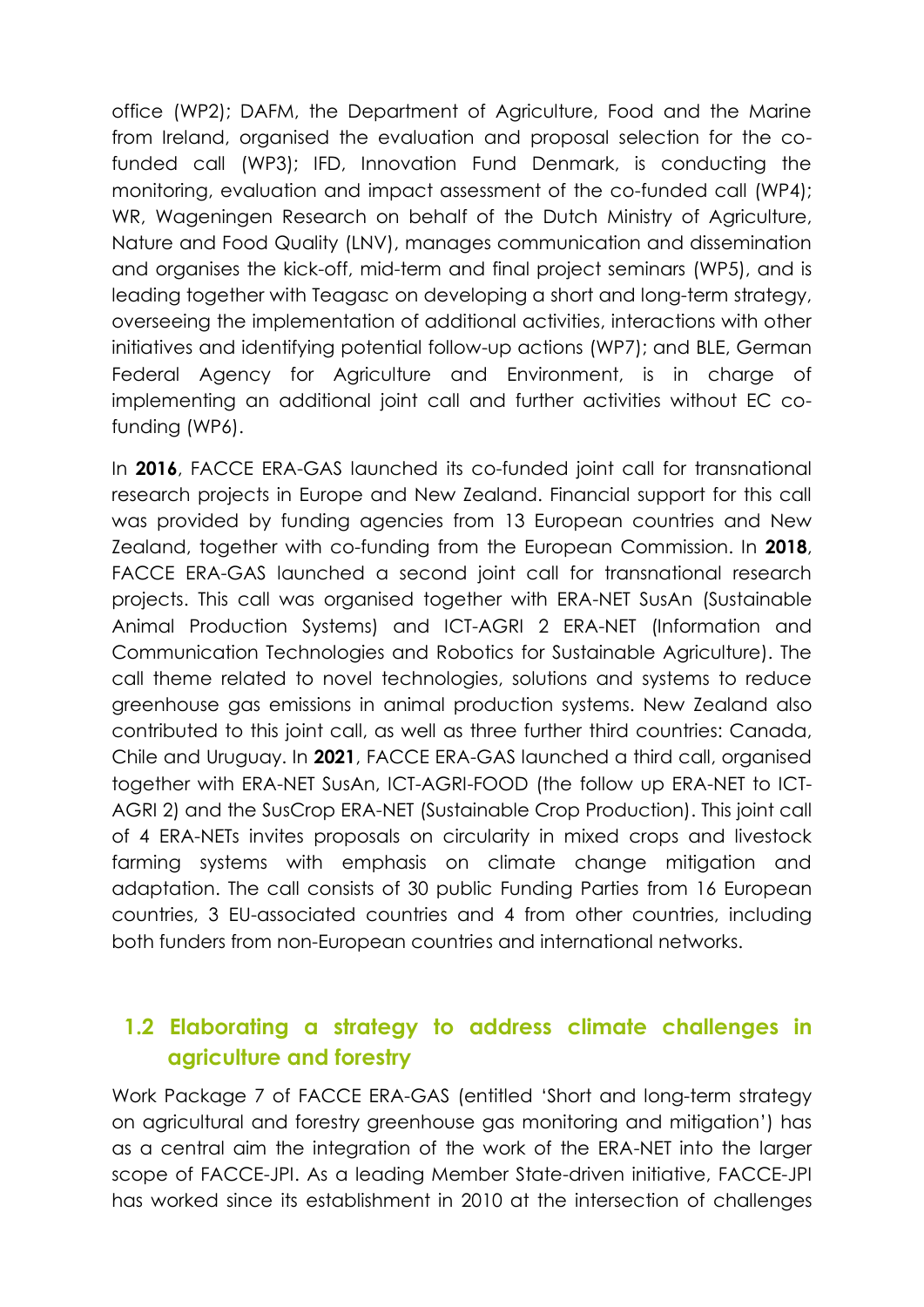office (WP2); DAFM, the Department of Agriculture, Food and the Marine from Ireland, organised the evaluation and proposal selection for the cofunded call (WP3); IFD, Innovation Fund Denmark, is conducting the monitoring, evaluation and impact assessment of the co-funded call (WP4); WR, Wageningen Research on behalf of the Dutch Ministry of Agriculture, Nature and Food Quality (LNV), manages communication and dissemination and organises the kick-off, mid-term and final project seminars (WP5), and is leading together with Teagasc on developing a short and long-term strategy, overseeing the implementation of additional activities, interactions with other initiatives and identifying potential follow-up actions (WP7); and BLE, German Federal Agency for Agriculture and Environment, is in charge of implementing an additional joint call and further activities without EC cofunding (WP6).

In **2016**, FACCE ERA-GAS launched its co-funded joint call for transnational research projects in Europe and New Zealand. Financial support for this call was provided by funding agencies from 13 European countries and New Zealand, together with co-funding from the European Commission. In **2018**, FACCE ERA-GAS launched a second joint call for transnational research projects. This call was organised together with ERA-NET SusAn (Sustainable Animal Production Systems) and ICT-AGRI 2 ERA-NET (Information and Communication Technologies and Robotics for Sustainable Agriculture). The call theme related to novel technologies, solutions and systems to reduce greenhouse gas emissions in animal production systems. New Zealand also contributed to this joint call, as well as three further third countries: Canada, Chile and Uruguay. In **2021**, FACCE ERA-GAS launched a third call, organised together with ERA-NET SusAn, ICT-AGRI-FOOD (the follow up ERA-NET to ICT-AGRI 2) and the SusCrop ERA-NET (Sustainable Crop Production). This joint call of 4 ERA-NETs invites proposals on circularity in mixed crops and livestock farming systems with emphasis on climate change mitigation and adaptation. The call consists of 30 public Funding Parties from 16 European countries, 3 EU-associated countries and 4 from other countries, including both funders from non-European countries and international networks.

### **1.2 Elaborating a strategy to address climate challenges in agriculture and forestry**

Work Package 7 of FACCE ERA-GAS (entitled 'Short and long-term strategy on agricultural and forestry greenhouse gas monitoring and mitigation') has as a central aim the integration of the work of the ERA-NET into the larger scope of FACCE-JPI. As a leading Member State-driven initiative, FACCE-JPI has worked since its establishment in 2010 at the intersection of challenges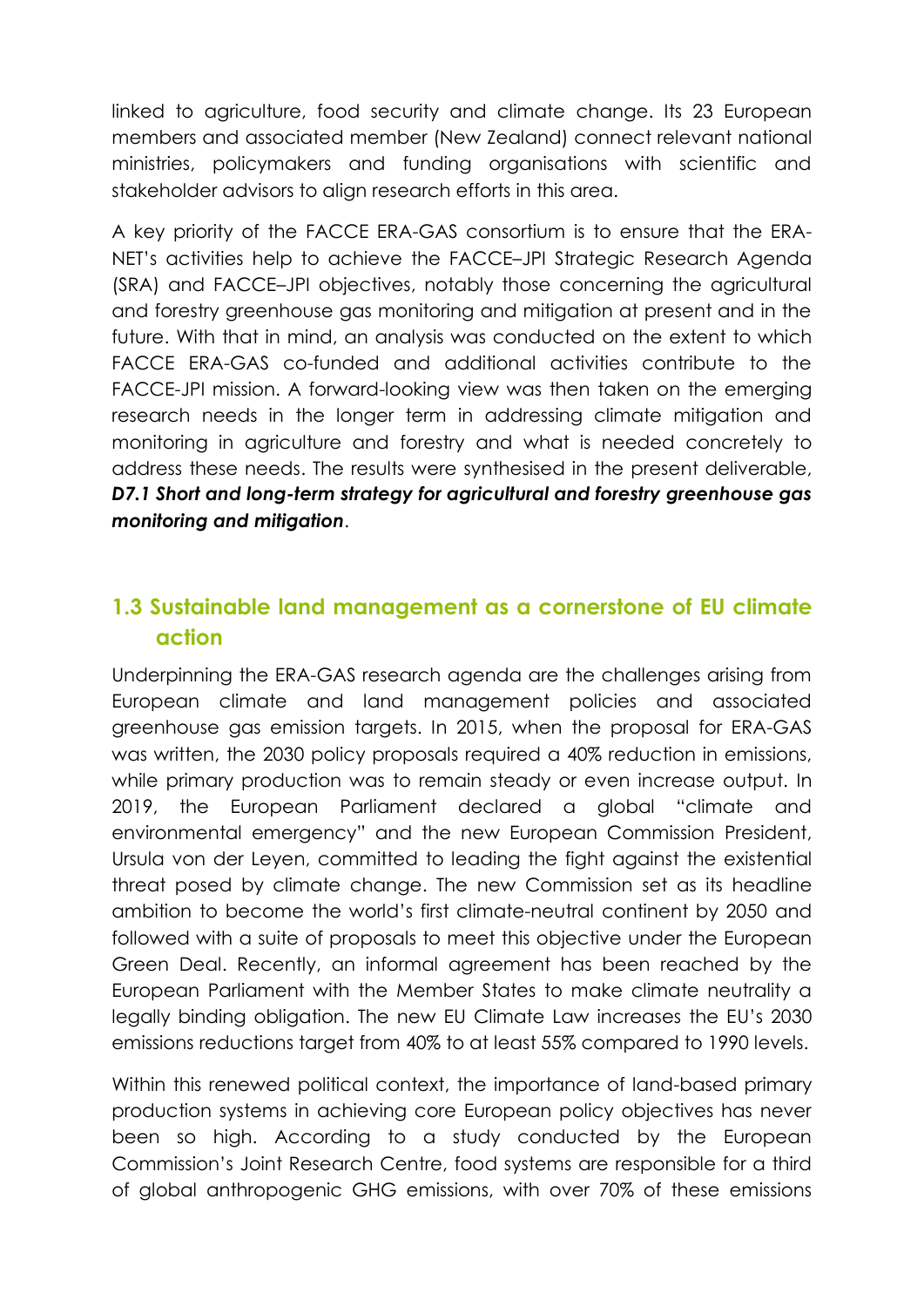linked to agriculture, food security and climate change. Its 23 European members and associated member (New Zealand) connect relevant national ministries, policymakers and funding organisations with scientific and stakeholder advisors to align research efforts in this area.

A key priority of the FACCE ERA-GAS consortium is to ensure that the ERA-NET's activities help to achieve the FACCE–JPI Strategic Research Agenda (SRA) and FACCE–JPI objectives, notably those concerning the agricultural and forestry greenhouse gas monitoring and mitigation at present and in the future. With that in mind, an analysis was conducted on the extent to which FACCE ERA-GAS co-funded and additional activities contribute to the FACCE-JPI mission. A forward-looking view was then taken on the emerging research needs in the longer term in addressing climate mitigation and monitoring in agriculture and forestry and what is needed concretely to address these needs. The results were synthesised in the present deliverable, *D7.1 Short and long-term strategy for agricultural and forestry greenhouse gas monitoring and mitigation*.

### **1.3 Sustainable land management as a cornerstone of EU climate action**

Underpinning the ERA-GAS research agenda are the challenges arising from European climate and land management policies and associated greenhouse gas emission targets. In 2015, when the proposal for ERA-GAS was written, the 2030 policy proposals required a 40% reduction in emissions, while primary production was to remain steady or even increase output. In 2019, the European Parliament declared a global "climate and environmental emergency" and the new European Commission President, Ursula von der Leyen, committed to leading the fight against the existential threat posed by climate change. The new Commission set as its headline ambition to become the world's first climate-neutral continent by 2050 and followed with a suite of proposals to meet this objective under the European Green Deal. Recently, an informal agreement has been reached by the European Parliament with the Member States to make climate neutrality a legally binding obligation. The new EU Climate Law increases the EU's 2030 emissions reductions target from 40% to at least 55% compared to 1990 levels.

Within this renewed political context, the importance of land-based primary production systems in achieving core European policy objectives has never been so high. According to a study conducted by the European Commission's Joint Research Centre, food systems are responsible for a third of global anthropogenic GHG emissions, with over 70% of these emissions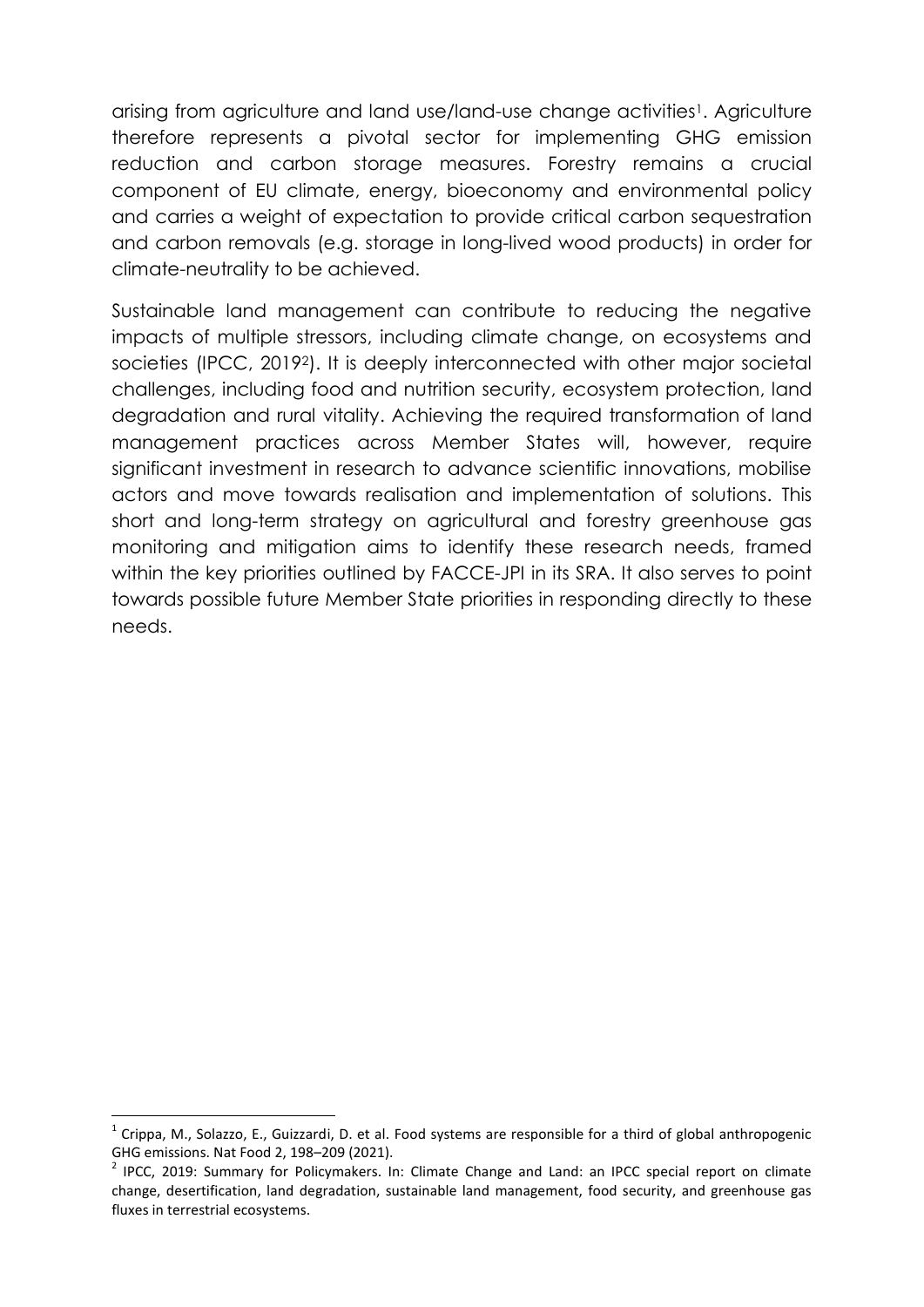arising from agriculture and land use/land-use change activities<sup>1</sup>. Agriculture therefore represents a pivotal sector for implementing GHG emission reduction and carbon storage measures. Forestry remains a crucial component of EU climate, energy, bioeconomy and environmental policy and carries a weight of expectation to provide critical carbon sequestration and carbon removals (e.g. storage in long-lived wood products) in order for climate-neutrality to be achieved.

Sustainable land management can contribute to reducing the negative impacts of multiple stressors, including climate change, on ecosystems and societies (IPCC, 20192). It is deeply interconnected with other major societal challenges, including food and nutrition security, ecosystem protection, land degradation and rural vitality. Achieving the required transformation of land management practices across Member States will, however, require significant investment in research to advance scientific innovations, mobilise actors and move towards realisation and implementation of solutions. This short and long-term strategy on agricultural and forestry greenhouse gas monitoring and mitigation aims to identify these research needs, framed within the key priorities outlined by FACCE-JPI in its SRA. It also serves to point towards possible future Member State priorities in responding directly to these needs.

1

 $^1$  Crippa, M., Solazzo, E., Guizzardi, D. et al. Food systems are responsible for a third of global anthropogenic GHG emissions. Nat Food 2, 198–209 (2021).

<sup>&</sup>lt;sup>2</sup> IPCC, 2019: Summary for Policymakers. In: Climate Change and Land: an IPCC special report on climate change, desertification, land degradation, sustainable land management, food security, and greenhouse gas fluxes in terrestrial ecosystems.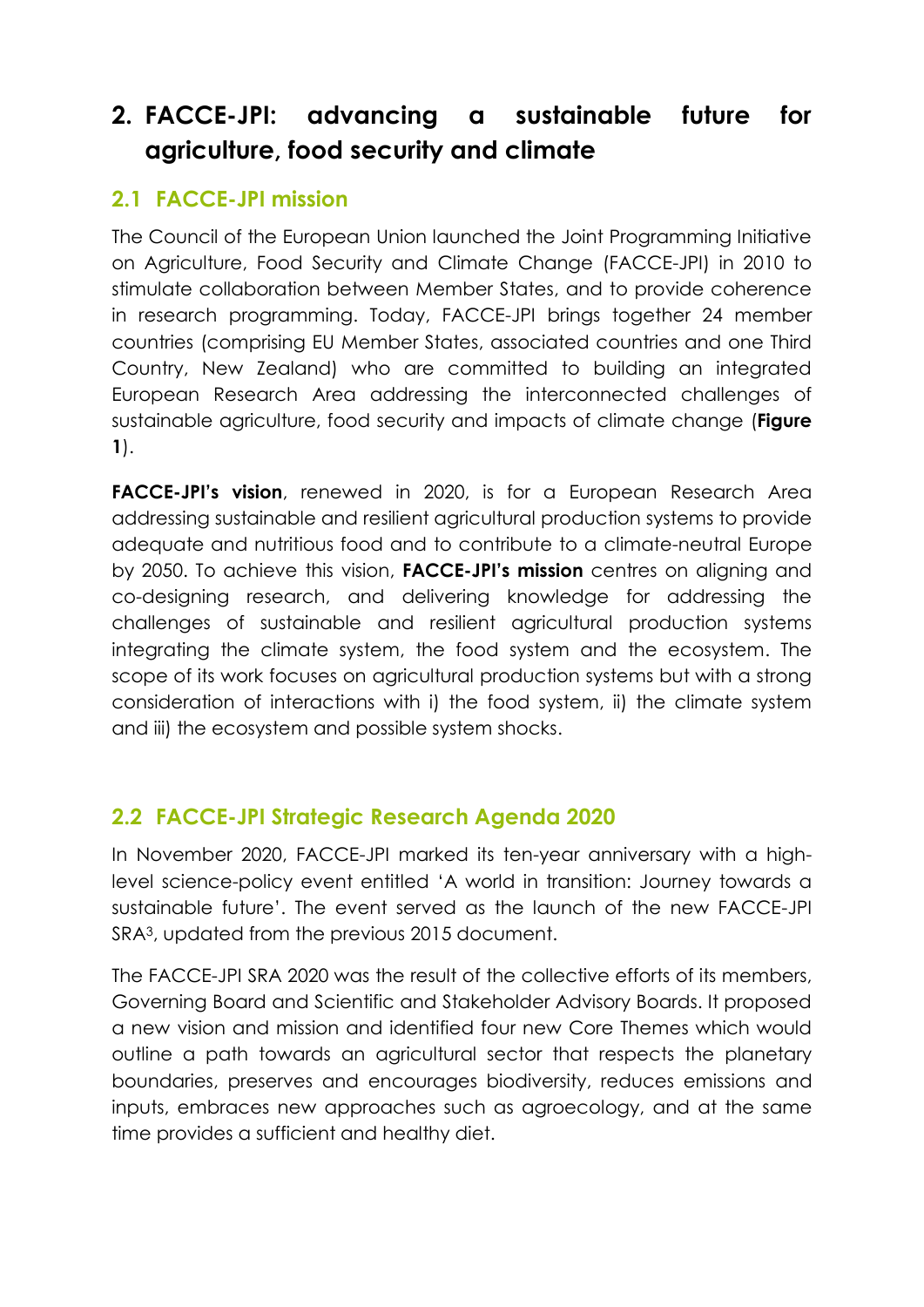## **2. FACCE-JPI: advancing a sustainable future for agriculture, food security and climate**

### **2.1 FACCE-JPI mission**

The Council of the European Union launched the Joint Programming Initiative on Agriculture, Food Security and Climate Change (FACCE-JPI) in 2010 to stimulate collaboration between Member States, and to provide coherence in research programming. Today, FACCE-JPI brings together 24 member countries (comprising EU Member States, associated countries and one Third Country, New Zealand) who are committed to building an integrated European Research Area addressing the interconnected challenges of sustainable agriculture, food security and impacts of climate change (**Figure 1**).

**FACCE-JPI's vision**, renewed in 2020, is for a European Research Area addressing sustainable and resilient agricultural production systems to provide adequate and nutritious food and to contribute to a climate-neutral Europe by 2050. To achieve this vision, **FACCE-JPI's mission** centres on aligning and co-designing research, and delivering knowledge for addressing the challenges of sustainable and resilient agricultural production systems integrating the climate system, the food system and the ecosystem. The scope of its work focuses on agricultural production systems but with a strong consideration of interactions with i) the food system, ii) the climate system and iii) the ecosystem and possible system shocks.

### **2.2 FACCE-JPI Strategic Research Agenda 2020**

In November 2020, FACCE-JPI marked its ten-year anniversary with a highlevel science-policy event entitled 'A world in transition: Journey towards a sustainable future'. The event served as the launch of the new FACCE-JPI SRA3, updated from the previous 2015 document.

The FACCE-JPI SRA 2020 was the result of the collective efforts of its members, Governing Board and Scientific and Stakeholder Advisory Boards. It proposed a new vision and mission and identified four new Core Themes which would outline a path towards an agricultural sector that respects the planetary boundaries, preserves and encourages biodiversity, reduces emissions and inputs, embraces new approaches such as agroecology, and at the same time provides a sufficient and healthy diet.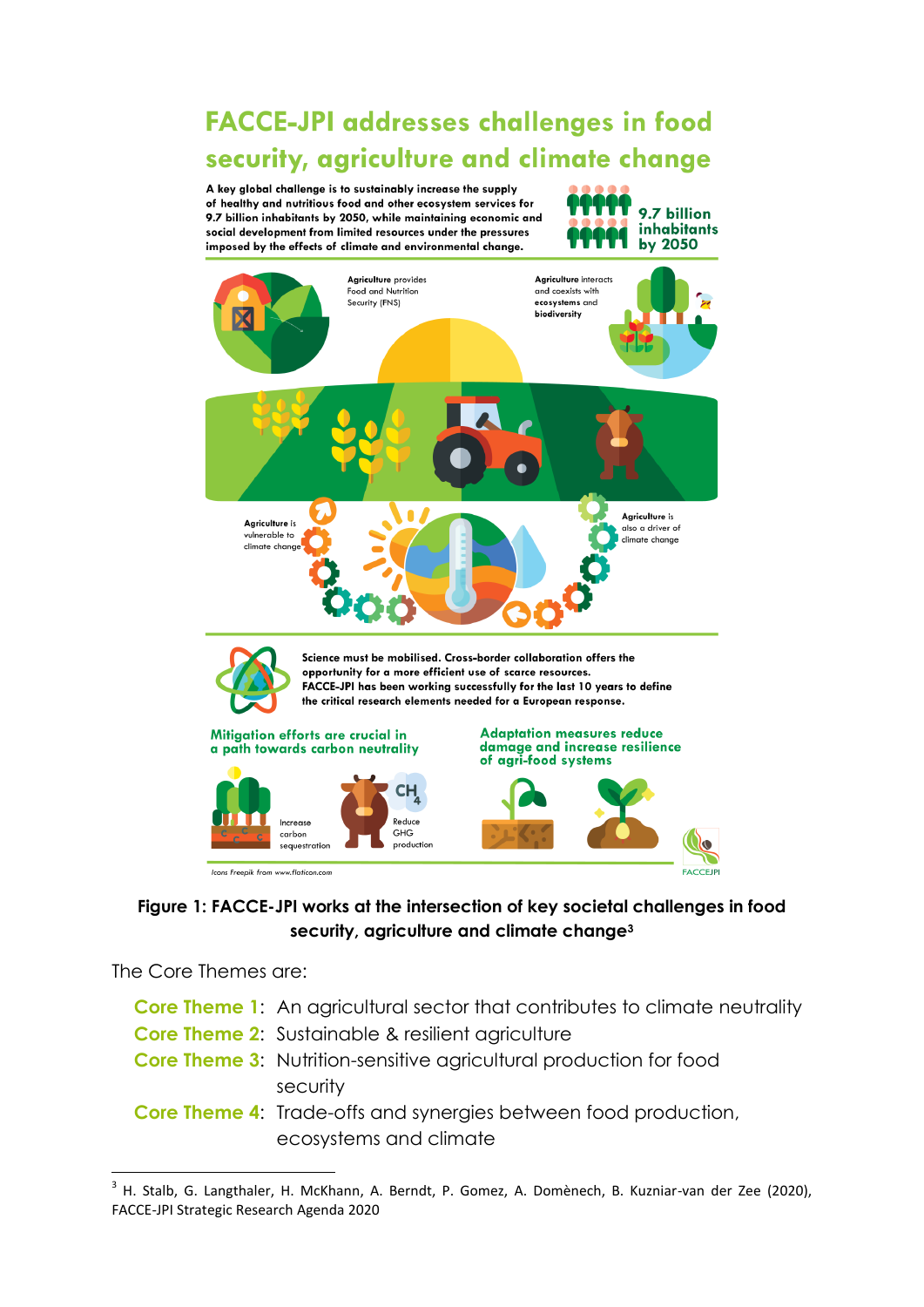**FACCE-JPI addresses challenges in food** security, agriculture and climate change

A key global challenge is to sustainably increase the supply of healthy and nutritious food and other ecosystem services for 9.7 billion inhabitants by 2050, while maintaining economic and social development from limited resources under the pressures imposed by the effects of climate and environmental change.





#### **Figure 1: FACCE-JPI works at the intersection of key societal challenges in food security, agriculture and climate change<sup>3</sup>**

The Core Themes are:

**.** 

- **Core Theme 1:** An agricultural sector that contributes to climate neutrality
- **Core Theme 2:** Sustainable & resilient agriculture
- **Core Theme 3:** Nutrition-sensitive agricultural production for food security
- **Core Theme 4:** Trade-offs and synergies between food production, ecosystems and climate

<sup>&</sup>lt;sup>3</sup> H. Stalb, G. Langthaler, H. McKhann, A. Berndt, P. Gomez, A. Domènech, B. Kuzniar-van der Zee (2020), FACCE-JPI Strategic Research Agenda 2020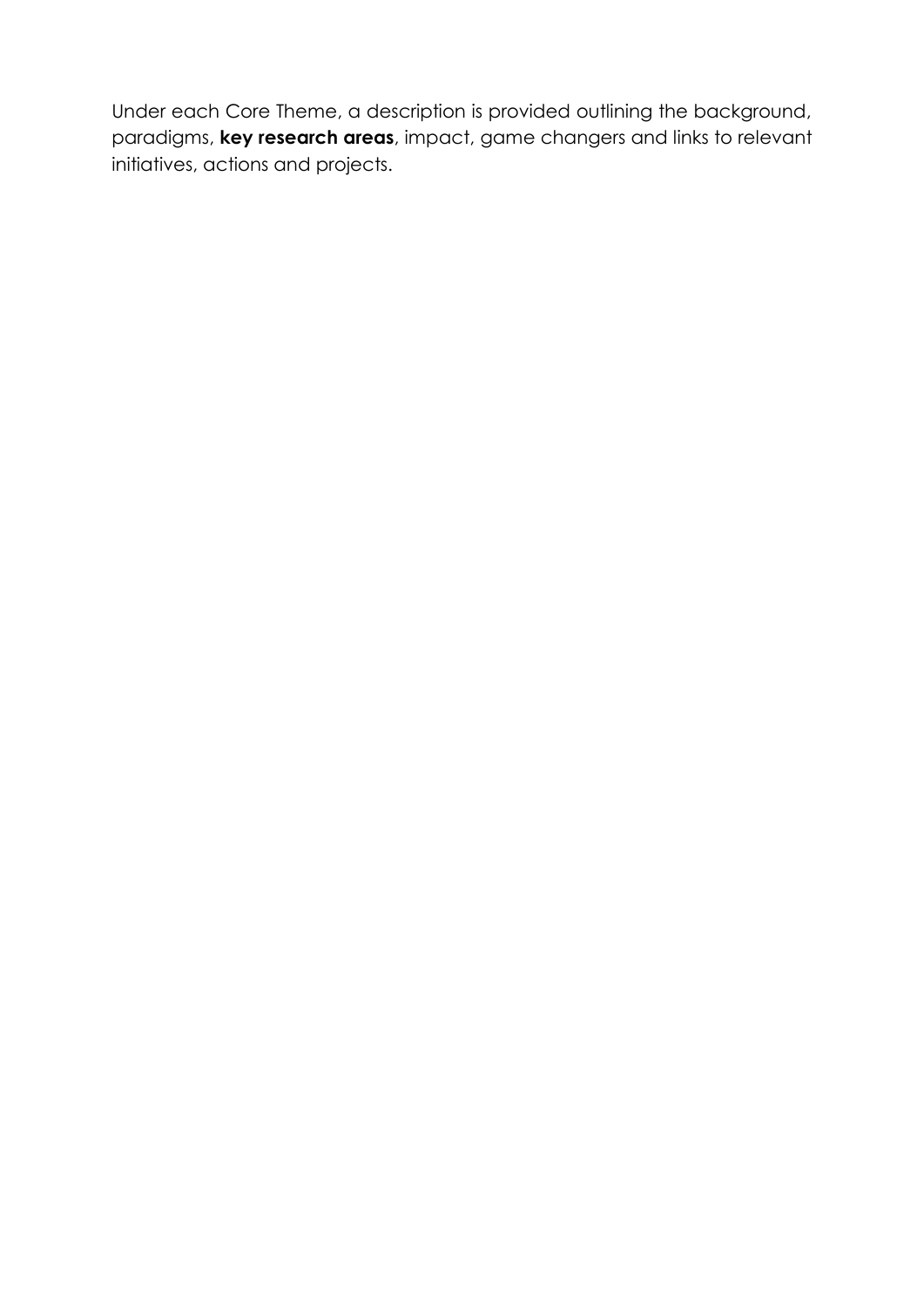Under each Core Theme, a description is provided outlining the background, paradigms, **key research areas**, impact, game changers and links to relevant initiatives, actions and projects.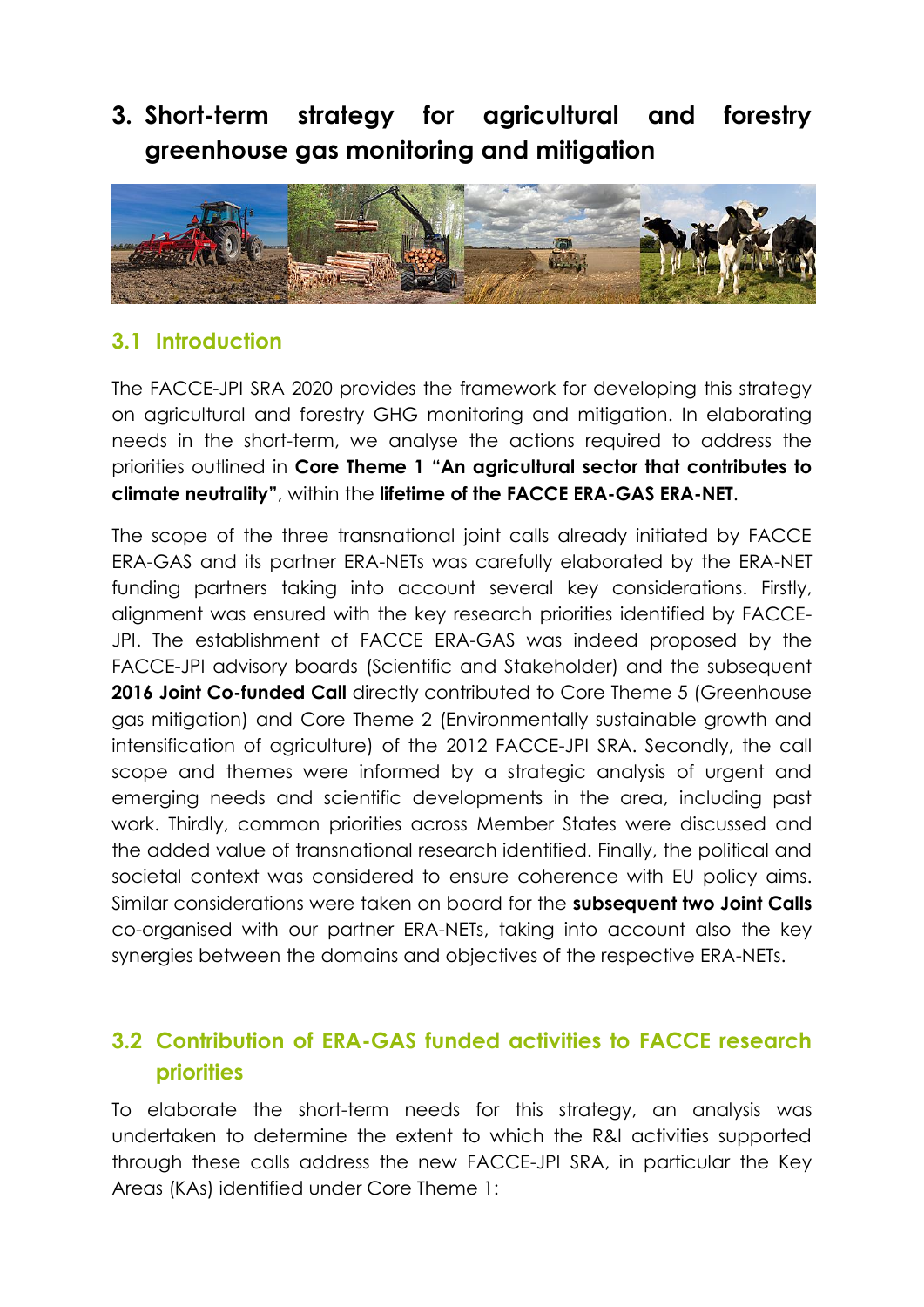## **3. Short-term strategy for agricultural and forestry greenhouse gas monitoring and mitigation**



### **3.1 Introduction**

The FACCE-JPI SRA 2020 provides the framework for developing this strategy on agricultural and forestry GHG monitoring and mitigation. In elaborating needs in the short-term, we analyse the actions required to address the priorities outlined in **Core Theme 1 "An agricultural sector that contributes to climate neutrality"**, within the **lifetime of the FACCE ERA-GAS ERA-NET**.

The scope of the three transnational joint calls already initiated by FACCE ERA-GAS and its partner ERA-NETs was carefully elaborated by the ERA-NET funding partners taking into account several key considerations. Firstly, alignment was ensured with the key research priorities identified by FACCE-JPI. The establishment of FACCE ERA-GAS was indeed proposed by the FACCE-JPI advisory boards (Scientific and Stakeholder) and the subsequent 2016 Joint Co-funded Call directly contributed to Core Theme 5 (Greenhouse gas mitigation) and Core Theme 2 (Environmentally sustainable growth and intensification of agriculture) of the 2012 FACCE-JPI SRA. Secondly, the call scope and themes were informed by a strategic analysis of urgent and emerging needs and scientific developments in the area, including past work. Thirdly, common priorities across Member States were discussed and the added value of transnational research identified. Finally, the political and societal context was considered to ensure coherence with EU policy aims. Similar considerations were taken on board for the **subsequent two Joint Calls** co-organised with our partner ERA-NETs, taking into account also the key synergies between the domains and objectives of the respective ERA-NETs.

### **3.2 Contribution of ERA-GAS funded activities to FACCE research priorities**

To elaborate the short-term needs for this strategy, an analysis was undertaken to determine the extent to which the R&I activities supported through these calls address the new FACCE-JPI SRA, in particular the Key Areas (KAs) identified under Core Theme 1: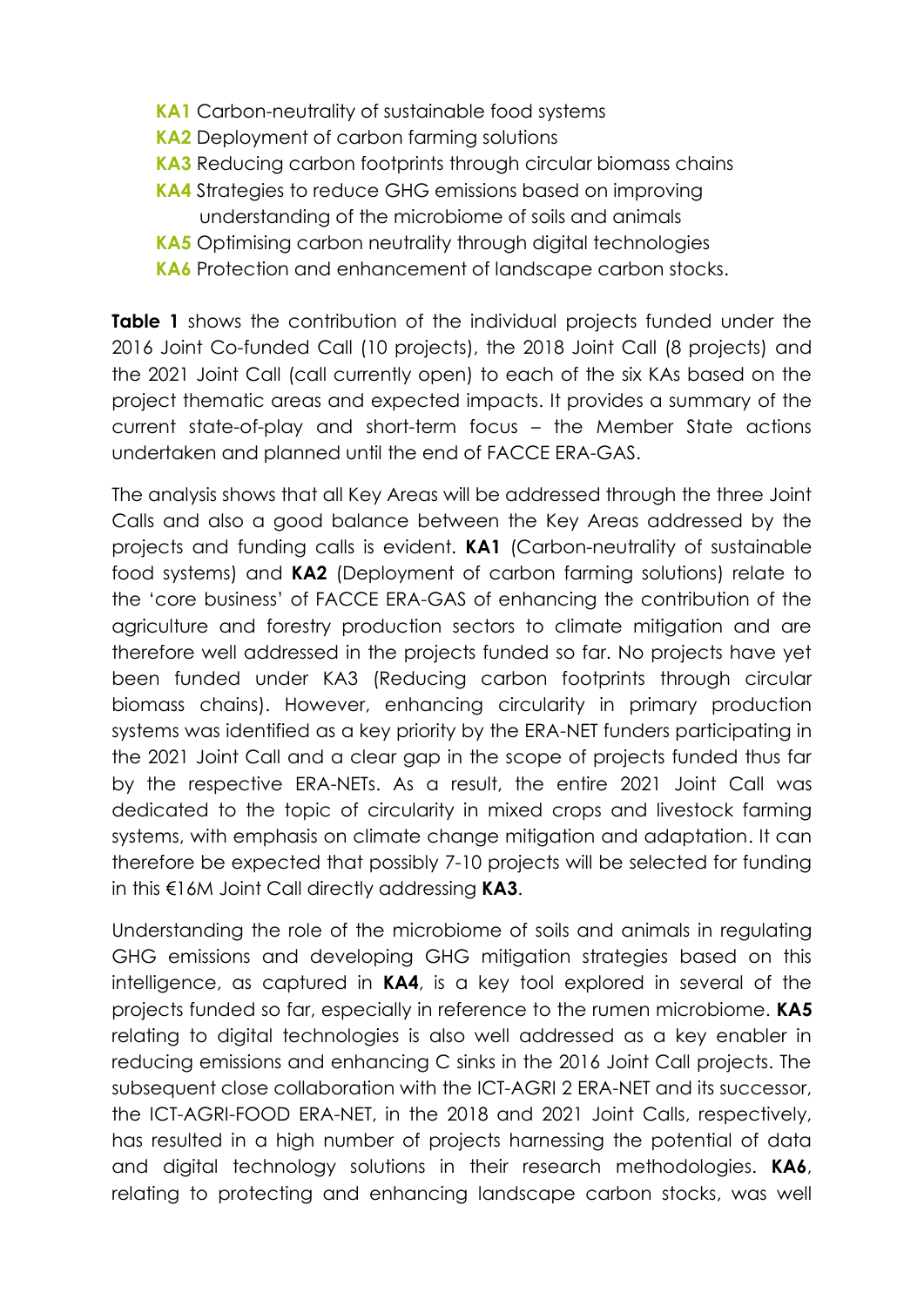- **KA1** Carbon-neutrality of sustainable food systems
- **KA2** Deployment of carbon farming solutions
- **KA3** Reducing carbon footprints through circular biomass chains
- **KA4** Strategies to reduce GHG emissions based on improving understanding of the microbiome of soils and animals
- **KA5** Optimising carbon neutrality through digital technologies
- **KA6** Protection and enhancement of landscape carbon stocks.

**Table 1** shows the contribution of the individual projects funded under the 2016 Joint Co-funded Call (10 projects), the 2018 Joint Call (8 projects) and the 2021 Joint Call (call currently open) to each of the six KAs based on the project thematic areas and expected impacts. It provides a summary of the current state-of-play and short-term focus – the Member State actions undertaken and planned until the end of FACCE ERA-GAS.

The analysis shows that all Key Areas will be addressed through the three Joint Calls and also a good balance between the Key Areas addressed by the projects and funding calls is evident. **KA1** (Carbon-neutrality of sustainable food systems) and **KA2** (Deployment of carbon farming solutions) relate to the 'core business' of FACCE ERA-GAS of enhancing the contribution of the agriculture and forestry production sectors to climate mitigation and are therefore well addressed in the projects funded so far. No projects have yet been funded under KA3 (Reducing carbon footprints through circular biomass chains). However, enhancing circularity in primary production systems was identified as a key priority by the ERA-NET funders participating in the 2021 Joint Call and a clear gap in the scope of projects funded thus far by the respective ERA-NETs. As a result, the entire 2021 Joint Call was dedicated to the topic of circularity in mixed crops and livestock farming systems, with emphasis on climate change mitigation and adaptation. It can therefore be expected that possibly 7-10 projects will be selected for funding in this €16M Joint Call directly addressing **KA3**.

Understanding the role of the microbiome of soils and animals in regulating GHG emissions and developing GHG mitigation strategies based on this intelligence, as captured in **KA4**, is a key tool explored in several of the projects funded so far, especially in reference to the rumen microbiome. **KA5** relating to digital technologies is also well addressed as a key enabler in reducing emissions and enhancing C sinks in the 2016 Joint Call projects. The subsequent close collaboration with the ICT-AGRI 2 ERA-NET and its successor, the ICT-AGRI-FOOD ERA-NET, in the 2018 and 2021 Joint Calls, respectively, has resulted in a high number of projects harnessing the potential of data and digital technology solutions in their research methodologies. **KA6**, relating to protecting and enhancing landscape carbon stocks, was well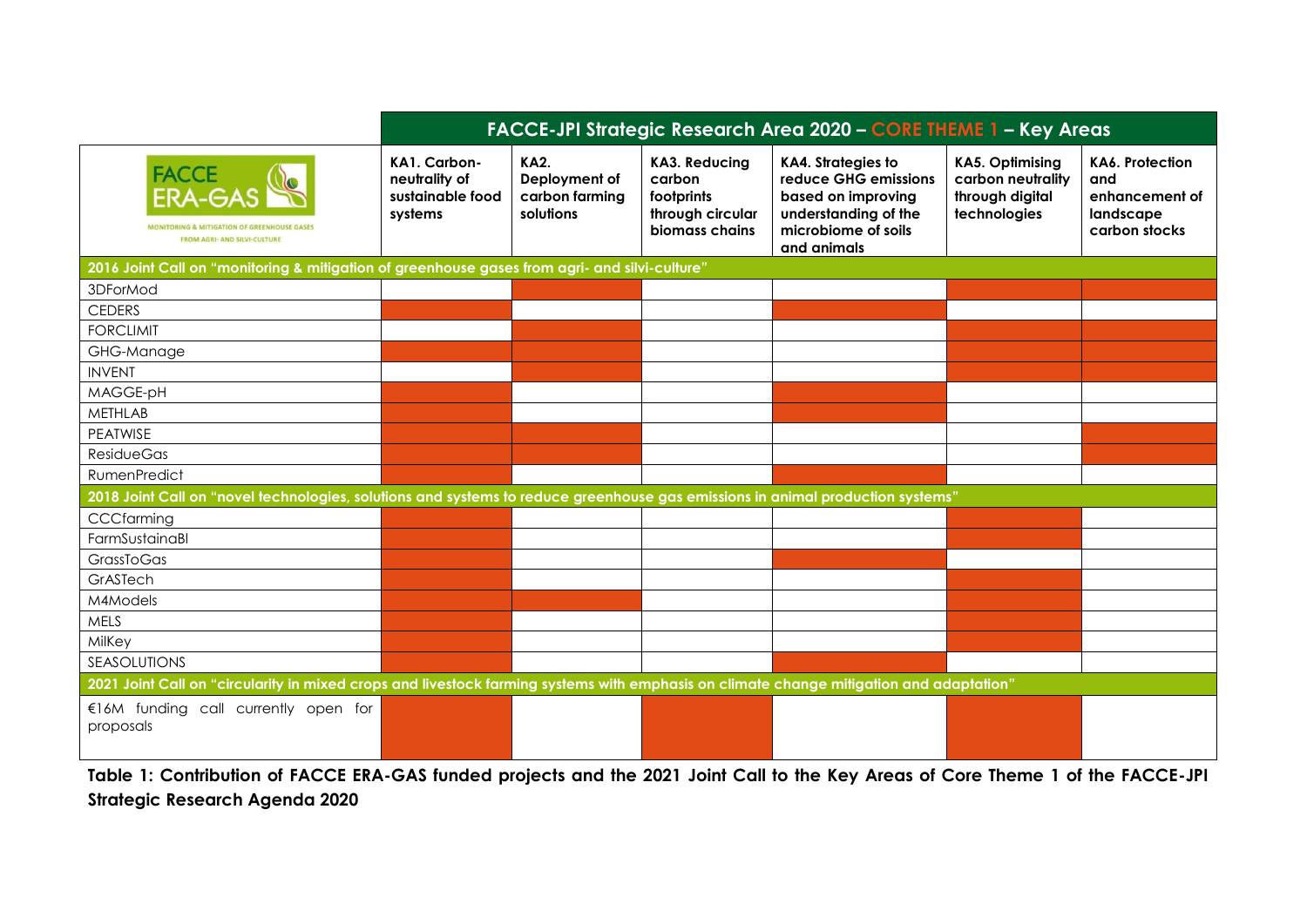|                                                                                                                                         | FACCE-JPI Strategic Research Area 2020 - CORE THEME 1 - Key Areas |                                                      |                                                                                    |                                                                                                                                       |                                                                                |                                                                               |  |  |  |  |
|-----------------------------------------------------------------------------------------------------------------------------------------|-------------------------------------------------------------------|------------------------------------------------------|------------------------------------------------------------------------------------|---------------------------------------------------------------------------------------------------------------------------------------|--------------------------------------------------------------------------------|-------------------------------------------------------------------------------|--|--|--|--|
| FACCE<br>ERA-GAS<br><b>MONITORING &amp; MITIGATION OF GREENHOUSE GASE</b><br><b>FROM AGRI- AND SILVI-CULTURE</b>                        | KA1. Carbon-<br>neutrality of<br>sustainable food<br>systems      | KA2.<br>Deployment of<br>carbon farming<br>solutions | <b>KA3. Reducing</b><br>carbon<br>footprints<br>through circular<br>biomass chains | <b>KA4. Strategies to</b><br>reduce GHG emissions<br>based on improving<br>understanding of the<br>microbiome of soils<br>and animals | <b>KA5. Optimising</b><br>carbon neutrality<br>through digital<br>technologies | <b>KA6. Protection</b><br>and<br>enhancement of<br>landscape<br>carbon stocks |  |  |  |  |
| 2016 Joint Call on "monitoring & mitigation of greenhouse gases from agri- and silvi-culture"                                           |                                                                   |                                                      |                                                                                    |                                                                                                                                       |                                                                                |                                                                               |  |  |  |  |
| 3DForMod                                                                                                                                |                                                                   |                                                      |                                                                                    |                                                                                                                                       |                                                                                |                                                                               |  |  |  |  |
| <b>CEDERS</b>                                                                                                                           |                                                                   |                                                      |                                                                                    |                                                                                                                                       |                                                                                |                                                                               |  |  |  |  |
| <b>FORCLIMIT</b>                                                                                                                        |                                                                   |                                                      |                                                                                    |                                                                                                                                       |                                                                                |                                                                               |  |  |  |  |
| GHG-Manage                                                                                                                              |                                                                   |                                                      |                                                                                    |                                                                                                                                       |                                                                                |                                                                               |  |  |  |  |
| <b>INVENT</b>                                                                                                                           |                                                                   |                                                      |                                                                                    |                                                                                                                                       |                                                                                |                                                                               |  |  |  |  |
| MAGGE-pH                                                                                                                                |                                                                   |                                                      |                                                                                    |                                                                                                                                       |                                                                                |                                                                               |  |  |  |  |
| <b>METHLAB</b>                                                                                                                          |                                                                   |                                                      |                                                                                    |                                                                                                                                       |                                                                                |                                                                               |  |  |  |  |
| PEATWISE                                                                                                                                |                                                                   |                                                      |                                                                                    |                                                                                                                                       |                                                                                |                                                                               |  |  |  |  |
| <b>ResidueGas</b>                                                                                                                       |                                                                   |                                                      |                                                                                    |                                                                                                                                       |                                                                                |                                                                               |  |  |  |  |
| RumenPredict                                                                                                                            |                                                                   |                                                      |                                                                                    |                                                                                                                                       |                                                                                |                                                                               |  |  |  |  |
| 2018 Joint Call on "novel technologies, solutions and systems to reduce greenhouse gas emissions in animal production systems"          |                                                                   |                                                      |                                                                                    |                                                                                                                                       |                                                                                |                                                                               |  |  |  |  |
| CCCfarming                                                                                                                              |                                                                   |                                                      |                                                                                    |                                                                                                                                       |                                                                                |                                                                               |  |  |  |  |
| FarmSustainaBl                                                                                                                          |                                                                   |                                                      |                                                                                    |                                                                                                                                       |                                                                                |                                                                               |  |  |  |  |
| GrassToGas                                                                                                                              |                                                                   |                                                      |                                                                                    |                                                                                                                                       |                                                                                |                                                                               |  |  |  |  |
| GrASTech                                                                                                                                |                                                                   |                                                      |                                                                                    |                                                                                                                                       |                                                                                |                                                                               |  |  |  |  |
| M4Models                                                                                                                                |                                                                   |                                                      |                                                                                    |                                                                                                                                       |                                                                                |                                                                               |  |  |  |  |
| <b>MELS</b>                                                                                                                             |                                                                   |                                                      |                                                                                    |                                                                                                                                       |                                                                                |                                                                               |  |  |  |  |
| MilKey                                                                                                                                  |                                                                   |                                                      |                                                                                    |                                                                                                                                       |                                                                                |                                                                               |  |  |  |  |
| <b>SEASOLUTIONS</b>                                                                                                                     |                                                                   |                                                      |                                                                                    |                                                                                                                                       |                                                                                |                                                                               |  |  |  |  |
| 2021 Joint Call on "circularity in mixed crops and livestock farming systems with emphasis on climate change mitigation and adaptation" |                                                                   |                                                      |                                                                                    |                                                                                                                                       |                                                                                |                                                                               |  |  |  |  |
| €16M funding call currently open for<br>proposals                                                                                       |                                                                   |                                                      |                                                                                    |                                                                                                                                       |                                                                                |                                                                               |  |  |  |  |

**Table 1: Contribution of FACCE ERA-GAS funded projects and the 2021 Joint Call to the Key Areas of Core Theme 1 of the FACCE-JPI Strategic Research Agenda 2020**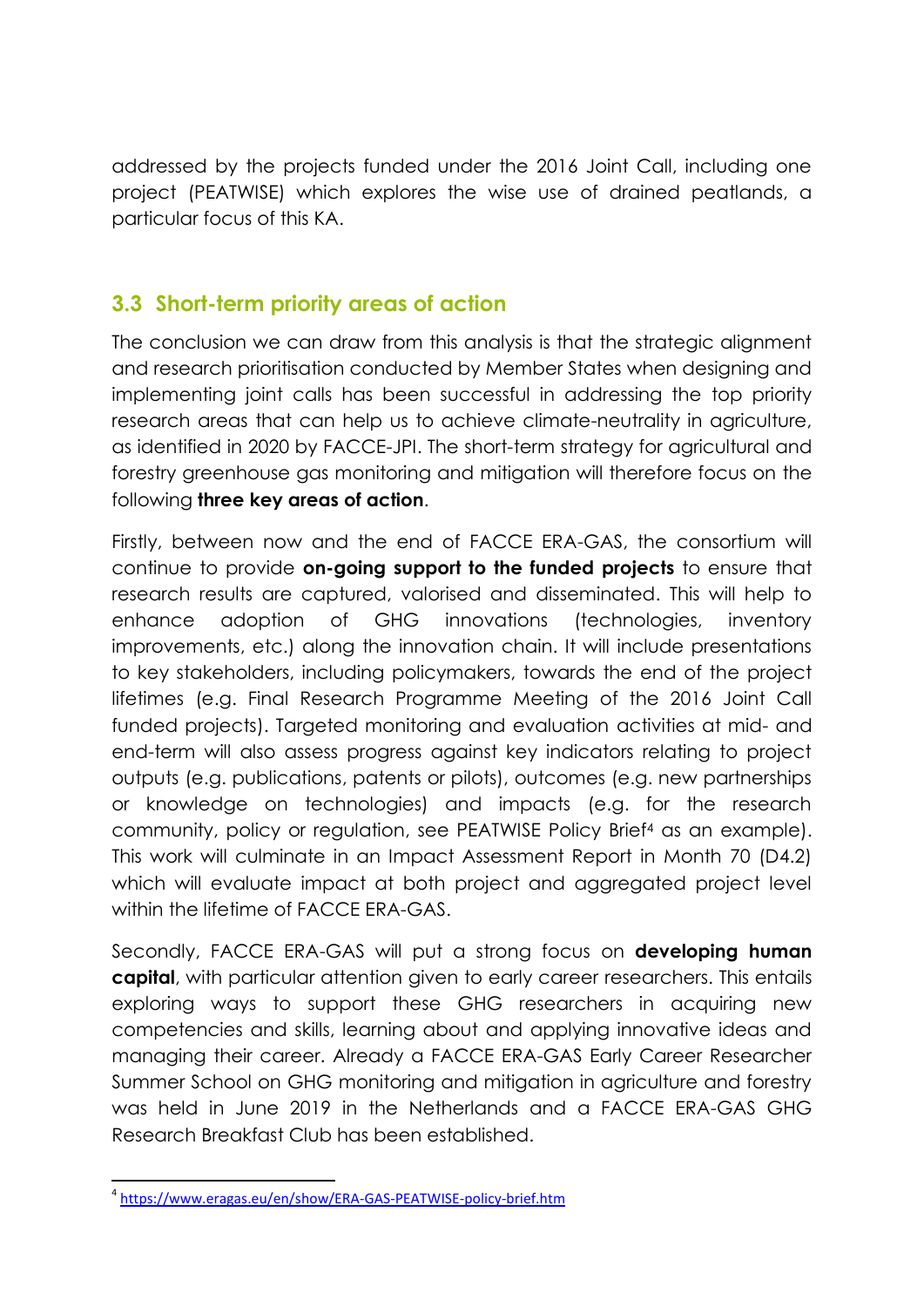addressed by the projects funded under the 2016 Joint Call, including one project (PEATWISE) which explores the wise use of drained peatlands, a particular focus of this KA.

### **3.3 Short-term priority areas of action**

The conclusion we can draw from this analysis is that the strategic alignment and research prioritisation conducted by Member States when designing and implementing joint calls has been successful in addressing the top priority research areas that can help us to achieve climate-neutrality in agriculture, as identified in 2020 by FACCE-JPI. The short-term strategy for agricultural and forestry greenhouse gas monitoring and mitigation will therefore focus on the following **three key areas of action**.

Firstly, between now and the end of FACCE ERA-GAS, the consortium will continue to provide **on-going support to the funded projects** to ensure that research results are captured, valorised and disseminated. This will help to enhance adoption of GHG innovations (technologies, inventory improvements, etc.) along the innovation chain. It will include presentations to key stakeholders, including policymakers, towards the end of the project lifetimes (e.g. Final Research Programme Meeting of the 2016 Joint Call funded projects). Targeted monitoring and evaluation activities at mid- and end-term will also assess progress against key indicators relating to project outputs (e.g. publications, patents or pilots), outcomes (e.g. new partnerships or knowledge on technologies) and impacts (e.g. for the research community, policy or regulation, see PEATWISE Policy Brief<sup>4</sup> as an example). This work will culminate in an Impact Assessment Report in Month 70 (D4.2) which will evaluate impact at both project and aggregated project level within the lifetime of FACCE ERA-GAS.

Secondly, FACCE ERA-GAS will put a strong focus on **developing human capital**, with particular attention given to early career researchers. This entails exploring ways to support these GHG researchers in acquiring new competencies and skills, learning about and applying innovative ideas and managing their career. Already a FACCE ERA-GAS Early Career Researcher Summer School on GHG monitoring and mitigation in agriculture and forestry was held in June 2019 in the Netherlands and a FACCE ERA-GAS GHG Research Breakfast Club has been established.

**<sup>.</sup>** 4 <https://www.eragas.eu/en/show/ERA-GAS-PEATWISE-policy-brief.htm>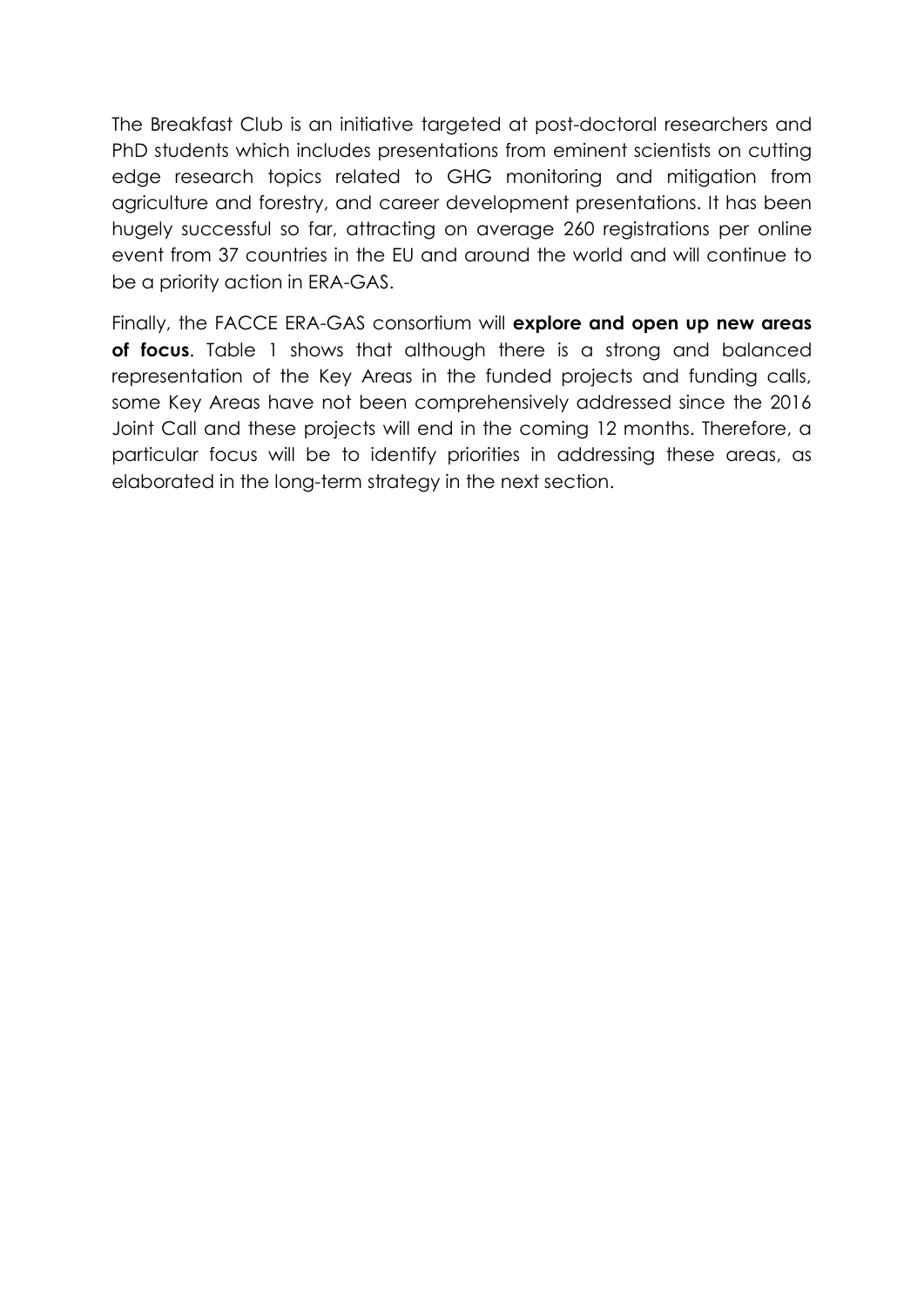The Breakfast Club is an initiative targeted at post-doctoral researchers and PhD students which includes presentations from eminent scientists on cutting edge research topics related to GHG monitoring and mitigation from agriculture and forestry, and career development presentations. It has been hugely successful so far, attracting on average 260 registrations per online event from 37 countries in the EU and around the world and will continue to be a priority action in ERA-GAS.

Finally, the FACCE ERA-GAS consortium will **explore and open up new areas of focus**. Table 1 shows that although there is a strong and balanced representation of the Key Areas in the funded projects and funding calls, some Key Areas have not been comprehensively addressed since the 2016 Joint Call and these projects will end in the coming 12 months. Therefore, a particular focus will be to identify priorities in addressing these areas, as elaborated in the long-term strategy in the next section.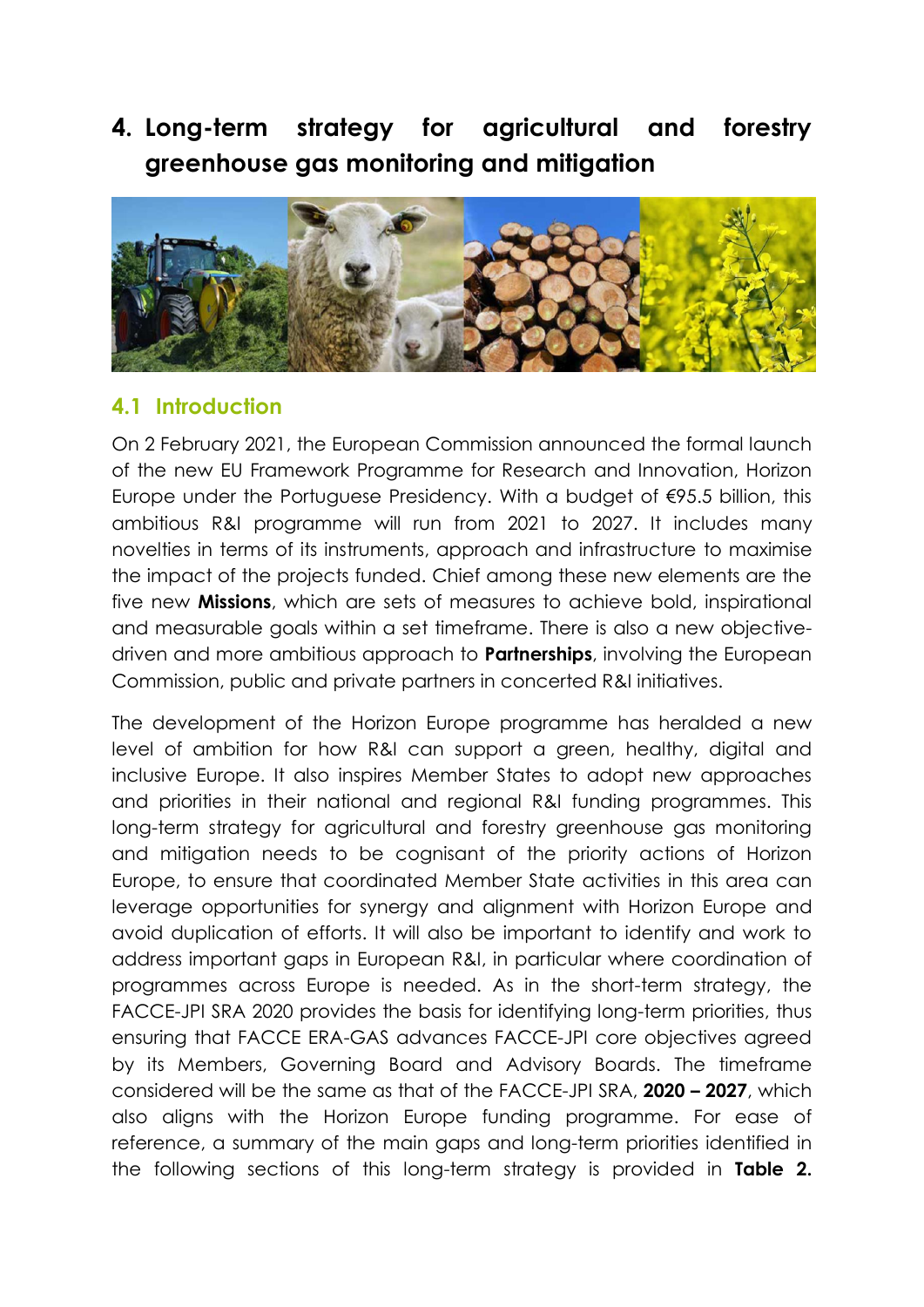**4. Long-term strategy for agricultural and forestry greenhouse gas monitoring and mitigation**



#### **4.1 Introduction**

On 2 February 2021, the European Commission announced the formal launch of the new EU Framework Programme for Research and Innovation, Horizon Europe under the Portuguese Presidency. With a budget of €95.5 billion, this ambitious R&I programme will run from 2021 to 2027. It includes many novelties in terms of its instruments, approach and infrastructure to maximise the impact of the projects funded. Chief among these new elements are the five new **Missions**, which are sets of measures to achieve bold, inspirational and measurable goals within a set timeframe. There is also a new objectivedriven and more ambitious approach to **Partnerships**, involving the European Commission, public and private partners in concerted R&I initiatives.

The development of the Horizon Europe programme has heralded a new level of ambition for how R&I can support a green, healthy, digital and inclusive Europe. It also inspires Member States to adopt new approaches and priorities in their national and regional R&I funding programmes. This long-term strategy for agricultural and forestry greenhouse gas monitoring and mitigation needs to be cognisant of the priority actions of Horizon Europe, to ensure that coordinated Member State activities in this area can leverage opportunities for synergy and alignment with Horizon Europe and avoid duplication of efforts. It will also be important to identify and work to address important gaps in European R&I, in particular where coordination of programmes across Europe is needed. As in the short-term strategy, the FACCE-JPI SRA 2020 provides the basis for identifying long-term priorities, thus ensuring that FACCE ERA-GAS advances FACCE-JPI core objectives agreed by its Members, Governing Board and Advisory Boards. The timeframe considered will be the same as that of the FACCE-JPI SRA, **2020 – 2027**, which also aligns with the Horizon Europe funding programme. For ease of reference, a summary of the main gaps and long-term priorities identified in the following sections of this long-term strategy is provided in **Table 2.**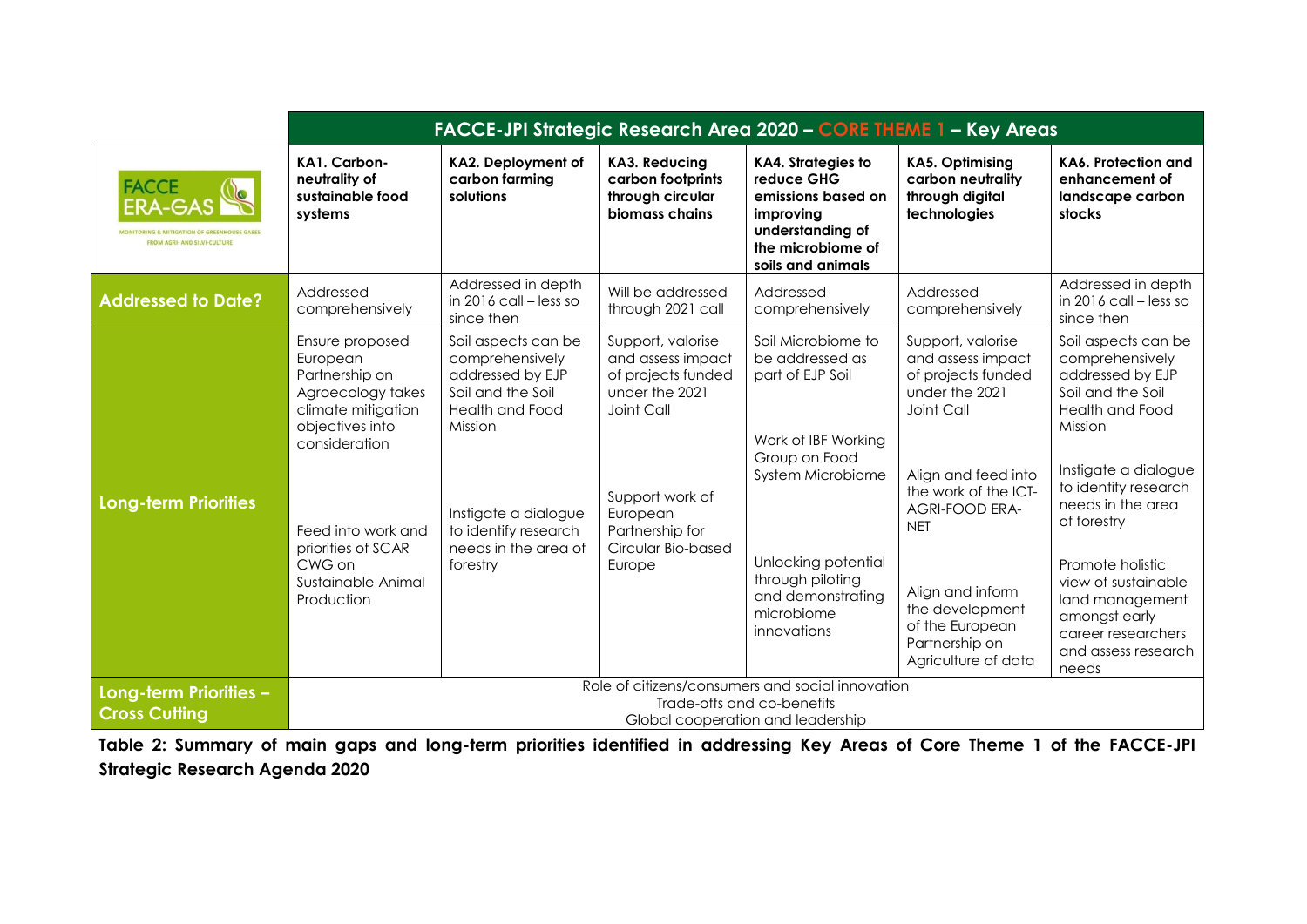|                                                                       | FACCE-JPI Strategic Research Area 2020 - CORE THEME 1 - Key Areas                                                                                                                                                      |                                                                                                                                                                                                   |                                                                                                                                                                                |                                                                                                                                                                                                                     |                                                                                                                                                                                                                                                                                       |                                                                                                                                                                                                                                                                                                                                        |  |  |  |
|-----------------------------------------------------------------------|------------------------------------------------------------------------------------------------------------------------------------------------------------------------------------------------------------------------|---------------------------------------------------------------------------------------------------------------------------------------------------------------------------------------------------|--------------------------------------------------------------------------------------------------------------------------------------------------------------------------------|---------------------------------------------------------------------------------------------------------------------------------------------------------------------------------------------------------------------|---------------------------------------------------------------------------------------------------------------------------------------------------------------------------------------------------------------------------------------------------------------------------------------|----------------------------------------------------------------------------------------------------------------------------------------------------------------------------------------------------------------------------------------------------------------------------------------------------------------------------------------|--|--|--|
| <b>FACCE</b><br><b>ERA-GAS</b><br><b>FROM AGRI- AND SILVI-CULTURE</b> | KA1. Carbon-<br>neutrality of<br>sustainable food<br>systems                                                                                                                                                           | KA2. Deployment of<br>carbon farming<br>solutions                                                                                                                                                 | <b>KA3. Reducing</b><br>carbon footprints<br>through circular<br>biomass chains                                                                                                | <b>KA4. Strategies to</b><br>reduce GHG<br>emissions based on<br>improving<br>understanding of<br>the microbiome of<br>soils and animals                                                                            | <b>KA5. Optimising</b><br>carbon neutrality<br>through digital<br>technologies                                                                                                                                                                                                        | KA6. Protection and<br>enhancement of<br>landscape carbon<br>stocks                                                                                                                                                                                                                                                                    |  |  |  |
| <b>Addressed to Date?</b>                                             | Addressed<br>comprehensively                                                                                                                                                                                           | Addressed in depth<br>in 2016 call - less so<br>since then                                                                                                                                        | Will be addressed<br>through 2021 call                                                                                                                                         | Addressed<br>comprehensively                                                                                                                                                                                        | Addressed<br>comprehensively                                                                                                                                                                                                                                                          | Addressed in depth<br>in 2016 call - less so<br>since then                                                                                                                                                                                                                                                                             |  |  |  |
| <b>Long-term Priorities</b>                                           | Ensure proposed<br>European<br>Partnership on<br>Agroecology takes<br>climate mitigation<br>objectives into<br>consideration<br>Feed into work and<br>priorities of SCAR<br>CWG on<br>Sustainable Animal<br>Production | Soil aspects can be<br>comprehensively<br>addressed by EJP<br>Soil and the Soil<br>Health and Food<br>Mission<br>Instigate a dialogue<br>to identify research<br>needs in the area of<br>forestry | Support, valorise<br>and assess impact<br>of projects funded<br>under the 2021<br>Joint Call<br>Support work of<br>European<br>Partnership for<br>Circular Bio-based<br>Europe | Soil Microbiome to<br>be addressed as<br>part of EJP Soil<br>Work of IBF Working<br>Group on Food<br>System Microbiome<br>Unlocking potential<br>through piloting<br>and demonstrating<br>microbiome<br>innovations | Support, valorise<br>and assess impact<br>of projects funded<br>under the 2021<br>Joint Call<br>Align and feed into<br>the work of the ICT-<br><b>AGRI-FOOD ERA-</b><br><b>NET</b><br>Align and inform<br>the development<br>of the European<br>Partnership on<br>Agriculture of data | Soil aspects can be<br>comprehensively<br>addressed by EJP<br>Soil and the Soil<br>Health and Food<br>Mission<br>Instigate a dialogue<br>to identify research<br>needs in the area<br>of forestry<br>Promote holistic<br>view of sustainable<br>land management<br>amongst early<br>career researchers<br>and assess research<br>needs |  |  |  |
| Long-term Priorities -<br><b>Cross Cutting</b>                        | Role of citizens/consumers and social innovation<br>Trade-offs and co-benefits<br>Global cooperation and leadership                                                                                                    |                                                                                                                                                                                                   |                                                                                                                                                                                |                                                                                                                                                                                                                     |                                                                                                                                                                                                                                                                                       |                                                                                                                                                                                                                                                                                                                                        |  |  |  |

**Table 2: Summary of main gaps and long-term priorities identified in addressing Key Areas of Core Theme 1 of the FACCE-JPI Strategic Research Agenda 2020**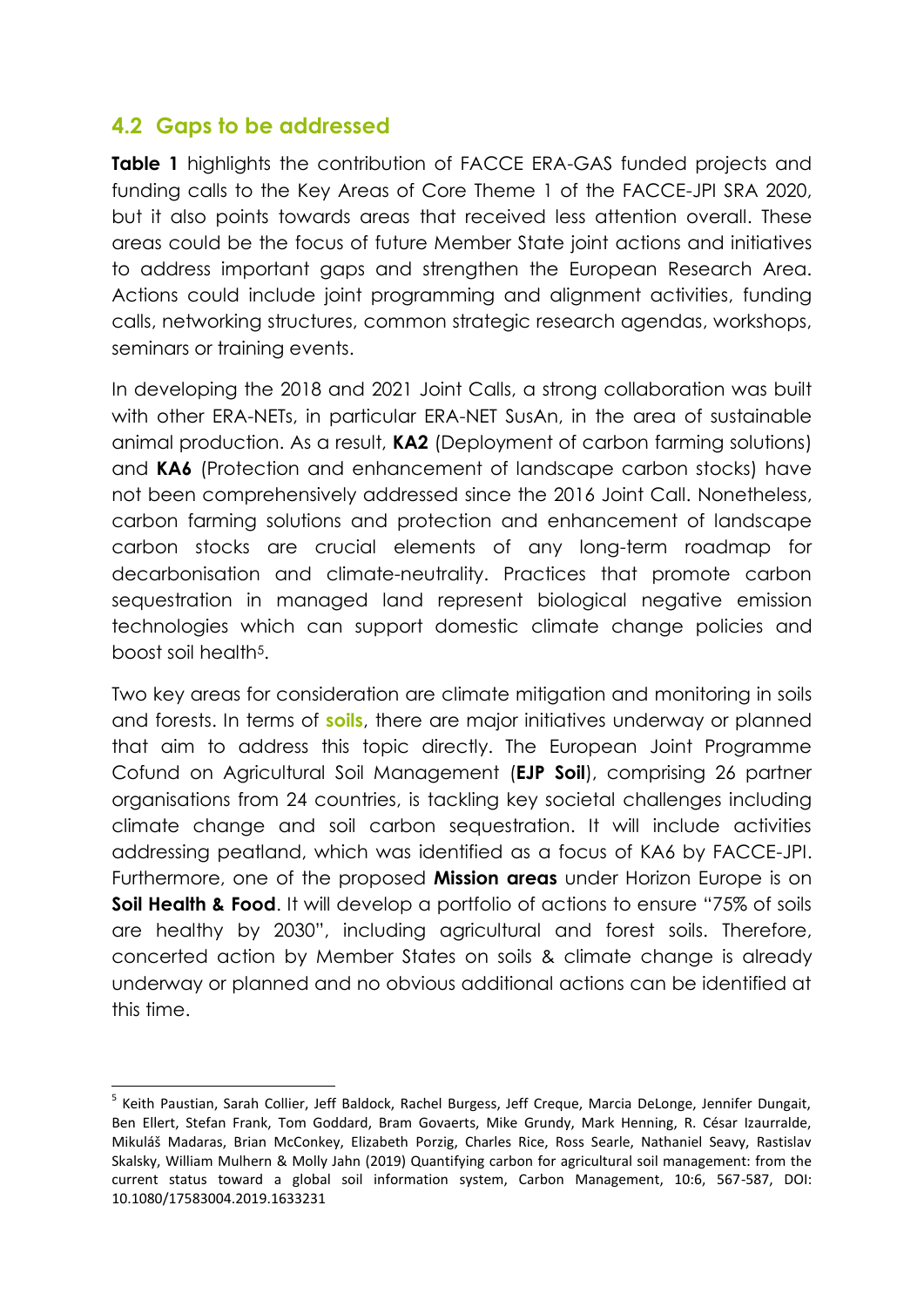#### **4.2 Gaps to be addressed**

**Table 1** highlights the contribution of FACCE ERA-GAS funded projects and funding calls to the Key Areas of Core Theme 1 of the FACCE-JPI SRA 2020, but it also points towards areas that received less attention overall. These areas could be the focus of future Member State joint actions and initiatives to address important gaps and strengthen the European Research Area. Actions could include joint programming and alignment activities, funding calls, networking structures, common strategic research agendas, workshops, seminars or training events.

In developing the 2018 and 2021 Joint Calls, a strong collaboration was built with other ERA-NETs, in particular ERA-NET SusAn, in the area of sustainable animal production. As a result, **KA2** (Deployment of carbon farming solutions) and **KA6** (Protection and enhancement of landscape carbon stocks) have not been comprehensively addressed since the 2016 Joint Call. Nonetheless, carbon farming solutions and protection and enhancement of landscape carbon stocks are crucial elements of any long-term roadmap for decarbonisation and climate-neutrality. Practices that promote carbon sequestration in managed land represent biological negative emission technologies which can support domestic climate change policies and boost soil health5.

Two key areas for consideration are climate mitigation and monitoring in soils and forests. In terms of **soils**, there are major initiatives underway or planned that aim to address this topic directly. The European Joint Programme Cofund on Agricultural Soil Management (**EJP Soil**), comprising 26 partner organisations from 24 countries, is tackling key societal challenges including climate change and soil carbon sequestration. It will include activities addressing peatland, which was identified as a focus of KA6 by FACCE-JPI. Furthermore, one of the proposed **Mission areas** under Horizon Europe is on **Soil Health & Food.** It will develop a portfolio of actions to ensure "75% of soils are healthy by 2030", including agricultural and forest soils. Therefore, concerted action by Member States on soils & climate change is already underway or planned and no obvious additional actions can be identified at this time.

**<sup>.</sup>** <sup>5</sup> Keith Paustian, Sarah Collier, Jeff Baldock, Rachel Burgess, Jeff Creque, Marcia DeLonge, Jennifer Dungait, Ben Ellert, Stefan Frank, Tom Goddard, Bram Govaerts, Mike Grundy, Mark Henning, R. César Izaurralde, Mikuláš Madaras, Brian McConkey, Elizabeth Porzig, Charles Rice, Ross Searle, Nathaniel Seavy, Rastislav Skalsky, William Mulhern & Molly Jahn (2019) Quantifying carbon for agricultural soil management: from the current status toward a global soil information system, Carbon Management, 10:6, 567-587, DOI: 10.1080/17583004.2019.1633231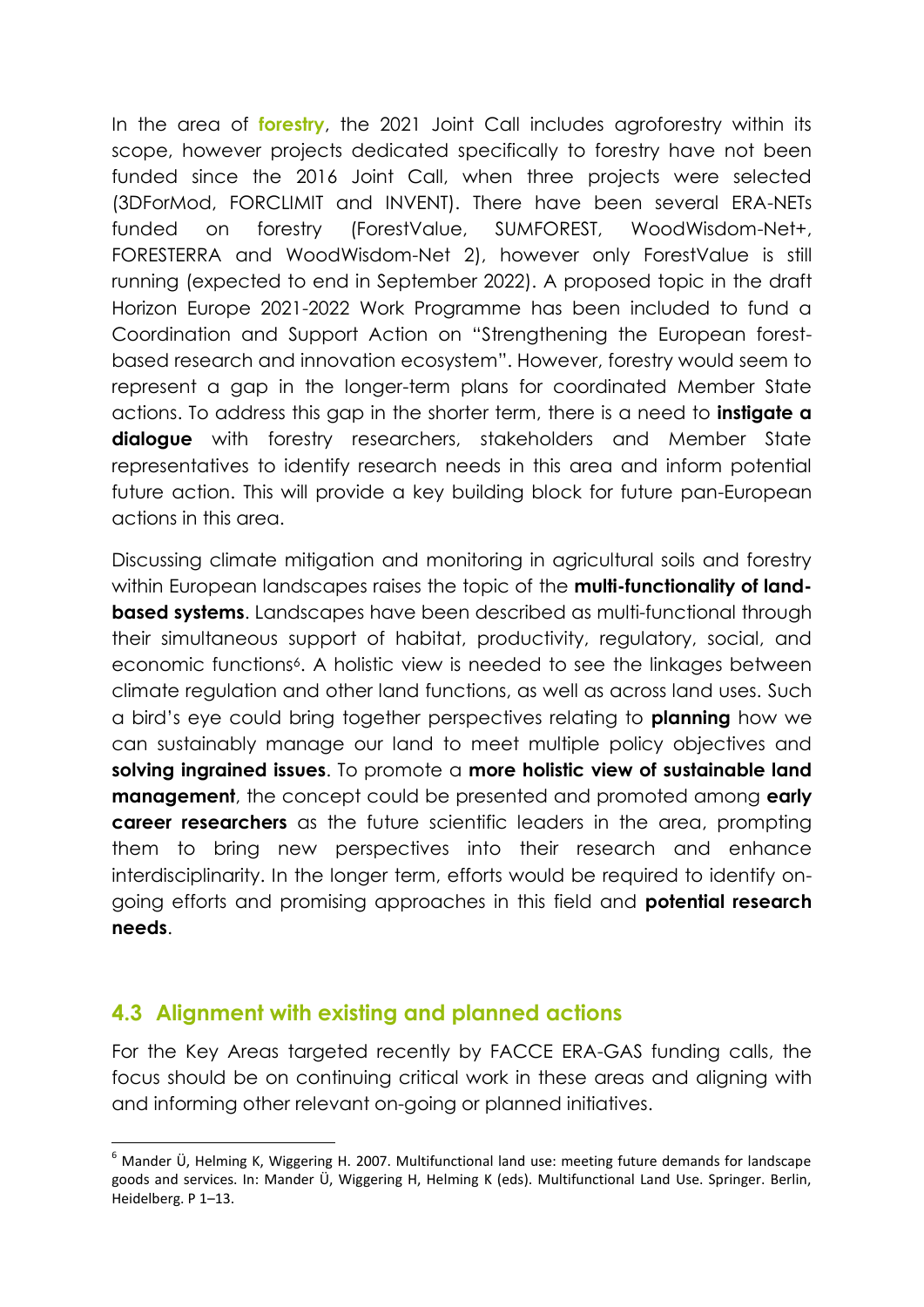In the area of **forestry**, the 2021 Joint Call includes agroforestry within its scope, however projects dedicated specifically to forestry have not been funded since the 2016 Joint Call, when three projects were selected (3DForMod, FORCLIMIT and INVENT). There have been several ERA-NETs funded on forestry (ForestValue, SUMFOREST, WoodWisdom-Net+, FORESTERRA and WoodWisdom-Net 2), however only ForestValue is still running (expected to end in September 2022). A proposed topic in the draft Horizon Europe 2021-2022 Work Programme has been included to fund a Coordination and Support Action on "Strengthening the European forestbased research and innovation ecosystem". However, forestry would seem to represent a gap in the longer-term plans for coordinated Member State actions. To address this gap in the shorter term, there is a need to **instigate a dialogue** with forestry researchers, stakeholders and Member State representatives to identify research needs in this area and inform potential future action. This will provide a key building block for future pan-European actions in this area.

Discussing climate mitigation and monitoring in agricultural soils and forestry within European landscapes raises the topic of the **multi-functionality of landbased systems**. Landscapes have been described as multi-functional through their simultaneous support of habitat, productivity, regulatory, social, and economic functions<sup>6</sup>. A holistic view is needed to see the linkages between climate regulation and other land functions, as well as across land uses. Such a bird's eye could bring together perspectives relating to **planning** how we can sustainably manage our land to meet multiple policy objectives and **solving ingrained issues**. To promote a **more holistic view of sustainable land management**, the concept could be presented and promoted among **early career researchers** as the future scientific leaders in the area, prompting them to bring new perspectives into their research and enhance interdisciplinarity. In the longer term, efforts would be required to identify ongoing efforts and promising approaches in this field and **potential research needs**.

#### **4.3 Alignment with existing and planned actions**

 $\overline{a}$ 

For the Key Areas targeted recently by FACCE ERA-GAS funding calls, the focus should be on continuing critical work in these areas and aligning with and informing other relevant on-going or planned initiatives.

 $6$  Mander Ü, Helming K, Wiggering H. 2007. Multifunctional land use: meeting future demands for landscape goods and services. In: Mander Ü, Wiggering H, Helming K (eds). Multifunctional Land Use. Springer. Berlin, Heidelberg. P 1–13.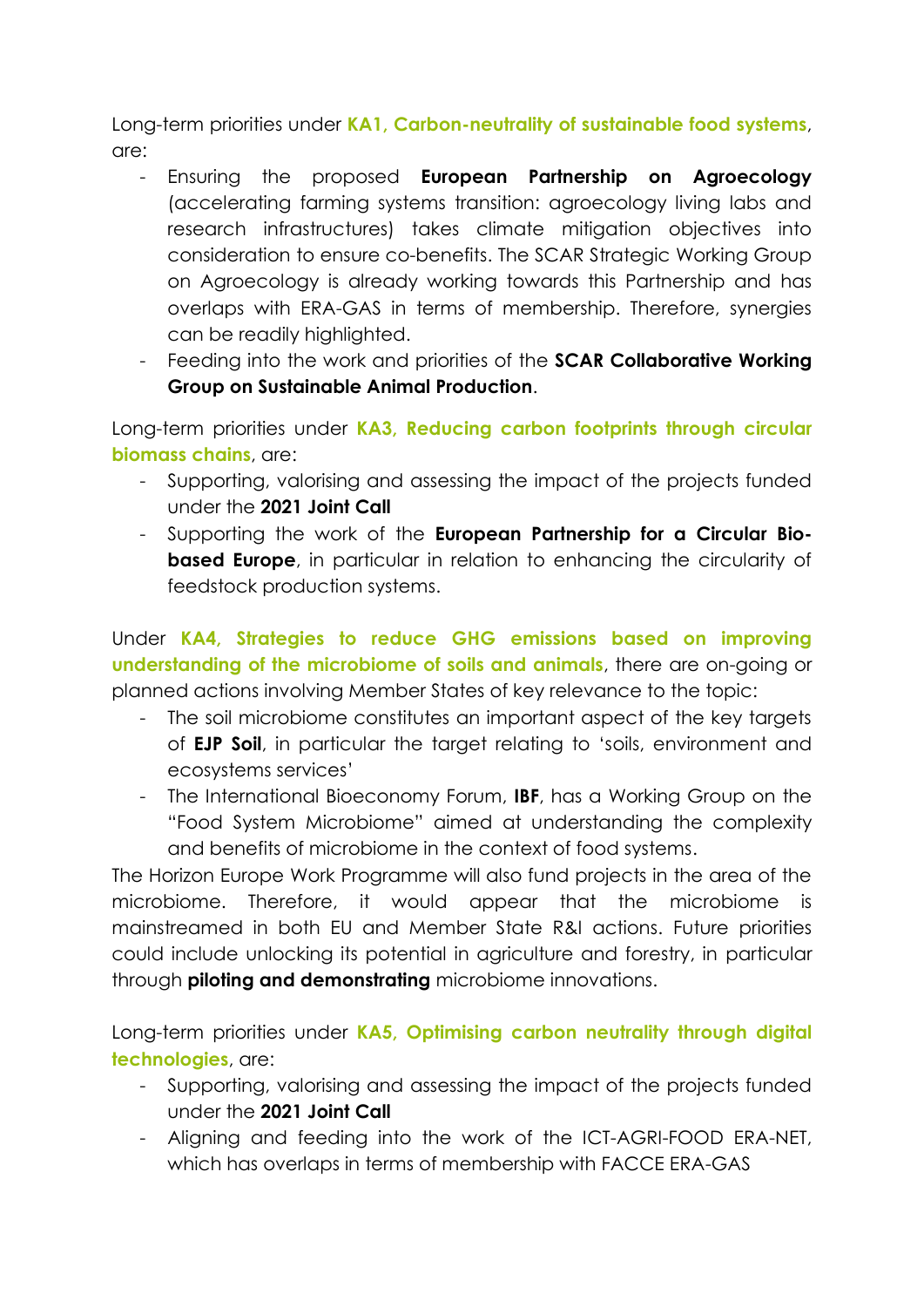Long-term priorities under **KA1, Carbon-neutrality of sustainable food systems**, are:

- Ensuring the proposed **European Partnership on Agroecology** (accelerating farming systems transition: agroecology living labs and research infrastructures) takes climate mitigation objectives into consideration to ensure co-benefits. The SCAR Strategic Working Group on Agroecology is already working towards this Partnership and has overlaps with ERA-GAS in terms of membership. Therefore, synergies can be readily highlighted.
- Feeding into the work and priorities of the **SCAR Collaborative Working Group on Sustainable Animal Production**.

Long-term priorities under **KA3, Reducing carbon footprints through circular biomass chains**, are:

- Supporting, valorising and assessing the impact of the projects funded under the **2021 Joint Call**
- Supporting the work of the **European Partnership for a Circular Biobased Europe**, in particular in relation to enhancing the circularity of feedstock production systems.

Under **KA4, Strategies to reduce GHG emissions based on improving understanding of the microbiome of soils and animals**, there are on-going or planned actions involving Member States of key relevance to the topic:

- The soil microbiome constitutes an important aspect of the key targets of **EJP Soil**, in particular the target relating to 'soils, environment and ecosystems services'
- The International Bioeconomy Forum, **IBF**, has a Working Group on the "Food System Microbiome" aimed at understanding the complexity and benefits of microbiome in the context of food systems.

The Horizon Europe Work Programme will also fund projects in the area of the microbiome. Therefore, it would appear that the microbiome is mainstreamed in both EU and Member State R&I actions. Future priorities could include unlocking its potential in agriculture and forestry, in particular through **piloting and demonstrating** microbiome innovations.

Long-term priorities under **KA5, Optimising carbon neutrality through digital technologies**, are:

- Supporting, valorising and assessing the impact of the projects funded under the **2021 Joint Call**
- Aligning and feeding into the work of the ICT-AGRI-FOOD ERA-NET, which has overlaps in terms of membership with FACCE ERA-GAS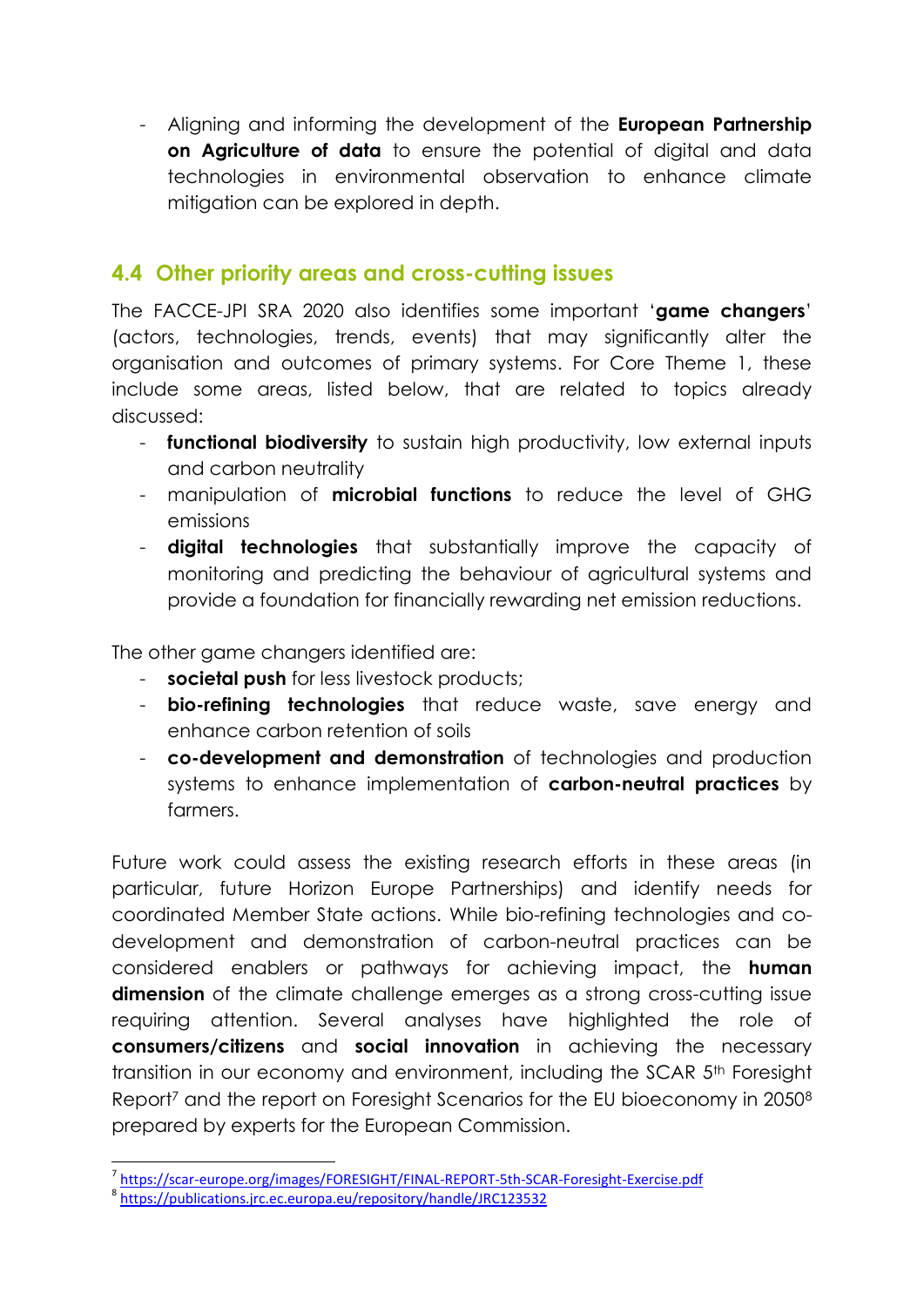- Aligning and informing the development of the **European Partnership on Agriculture of data** to ensure the potential of digital and data technologies in environmental observation to enhance climate mitigation can be explored in depth.

#### **4.4 Other priority areas and cross-cutting issues**

The FACCE-JPI SRA 2020 also identifies some important '**game changers**' (actors, technologies, trends, events) that may significantly alter the organisation and outcomes of primary systems. For Core Theme 1, these include some areas, listed below, that are related to topics already discussed:

- **functional biodiversity** to sustain high productivity, low external inputs and carbon neutrality
- manipulation of **microbial functions** to reduce the level of GHG emissions
- **digital technologies** that substantially improve the capacity of monitoring and predicting the behaviour of agricultural systems and provide a foundation for financially rewarding net emission reductions.

The other game changers identified are:

- **societal push** for less livestock products;
- **bio-refining technologies** that reduce waste, save energy and enhance carbon retention of soils
- **co-development and demonstration** of technologies and production systems to enhance implementation of **carbon-neutral practices** by farmers.

Future work could assess the existing research efforts in these areas (in particular, future Horizon Europe Partnerships) and identify needs for coordinated Member State actions. While bio-refining technologies and codevelopment and demonstration of carbon-neutral practices can be considered enablers or pathways for achieving impact, the **human dimension** of the climate challenge emerges as a strong cross-cutting issue requiring attention. Several analyses have highlighted the role of **consumers/citizens** and **social innovation** in achieving the necessary transition in our economy and environment, including the SCAR 5<sup>th</sup> Foresight Report<sup>7</sup> and the report on Foresight Scenarios for the EU bioeconomy in 2050<sup>8</sup> prepared by experts for the European Commission.

1

<sup>7</sup> <https://scar-europe.org/images/FORESIGHT/FINAL-REPORT-5th-SCAR-Foresight-Exercise.pdf>

<sup>8</sup> <https://publications.jrc.ec.europa.eu/repository/handle/JRC123532>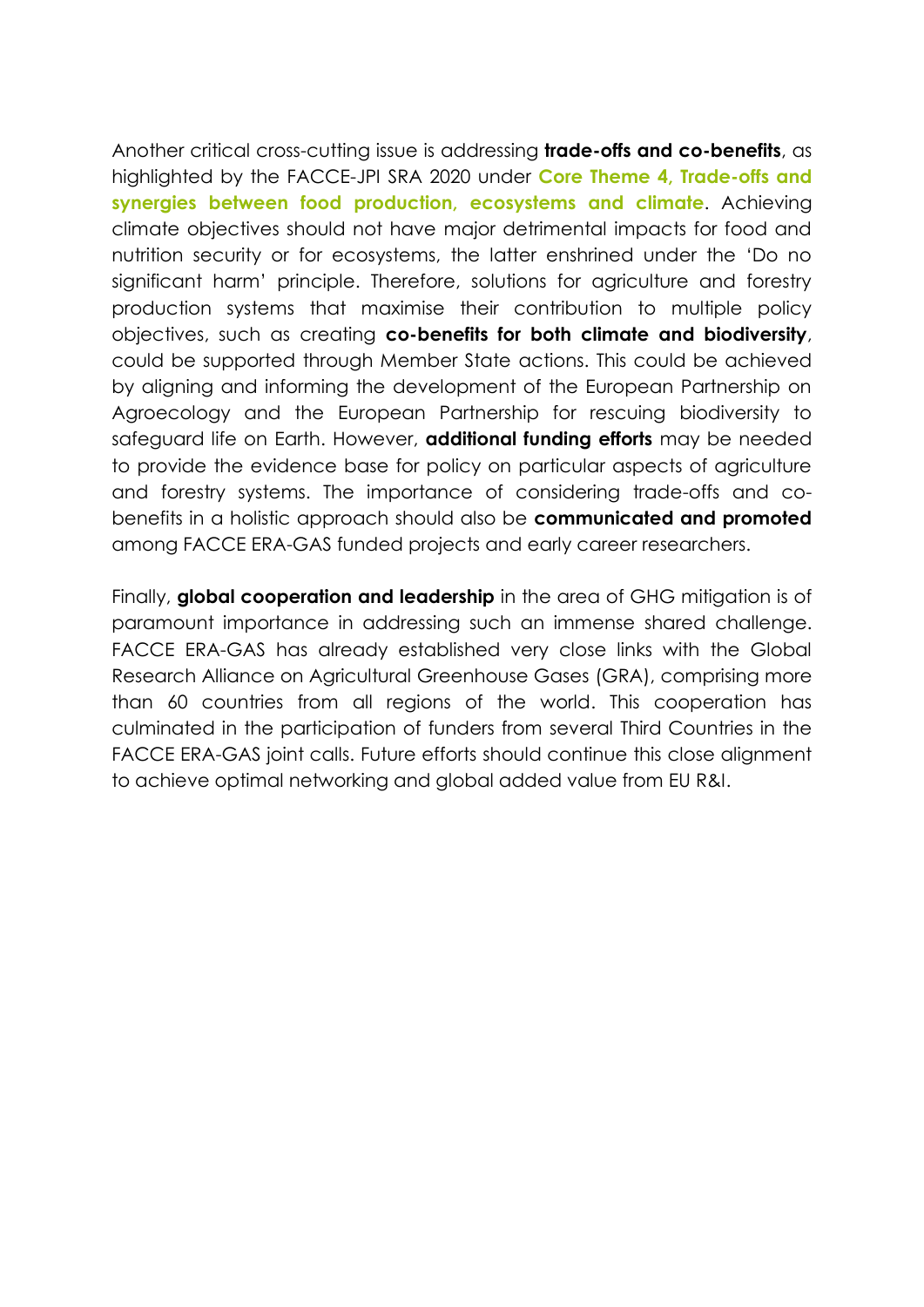Another critical cross-cutting issue is addressing **trade-offs and co-benefits**, as highlighted by the FACCE-JPI SRA 2020 under **Core Theme 4, Trade-offs and synergies between food production, ecosystems and climate**. Achieving climate objectives should not have major detrimental impacts for food and nutrition security or for ecosystems, the latter enshrined under the 'Do no significant harm' principle. Therefore, solutions for agriculture and forestry production systems that maximise their contribution to multiple policy objectives, such as creating **co-benefits for both climate and biodiversity**, could be supported through Member State actions. This could be achieved by aligning and informing the development of the European Partnership on Agroecology and the European Partnership for rescuing biodiversity to safeguard life on Earth. However, **additional funding efforts** may be needed to provide the evidence base for policy on particular aspects of agriculture and forestry systems. The importance of considering trade-offs and cobenefits in a holistic approach should also be **communicated and promoted** among FACCE ERA-GAS funded projects and early career researchers.

Finally, **global cooperation and leadership** in the area of GHG mitigation is of paramount importance in addressing such an immense shared challenge. FACCE ERA-GAS has already established very close links with the Global Research Alliance on Agricultural Greenhouse Gases (GRA), comprising more than 60 countries from all regions of the world. This cooperation has culminated in the participation of funders from several Third Countries in the FACCE ERA-GAS joint calls. Future efforts should continue this close alignment to achieve optimal networking and global added value from EU R&I.